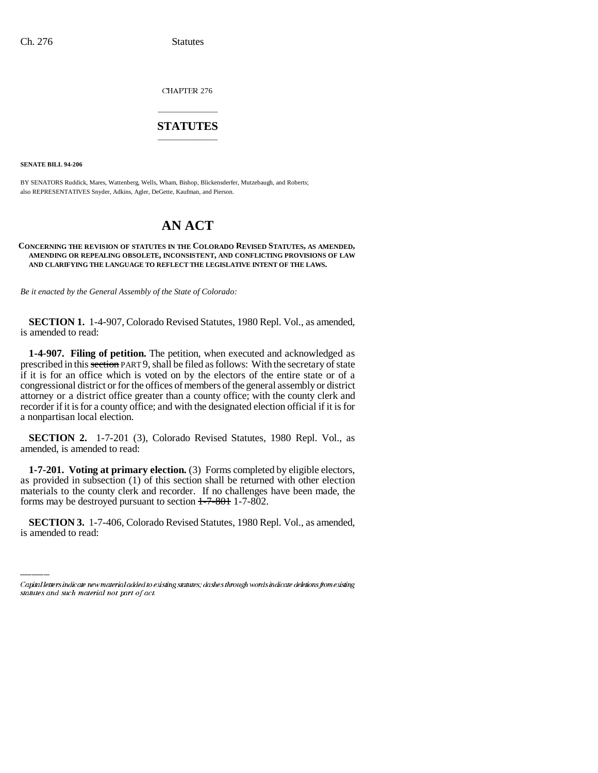CHAPTER 276

# \_\_\_\_\_\_\_\_\_\_\_\_\_\_\_ **STATUTES** \_\_\_\_\_\_\_\_\_\_\_\_\_\_\_

**SENATE BILL 94-206**

BY SENATORS Ruddick, Mares, Wattenberg, Wells, Wham, Bishop, Blickensderfer, Mutzebaugh, and Roberts; also REPRESENTATIVES Snyder, Adkins, Agler, DeGette, Kaufman, and Pierson.

# **AN ACT**

### **CONCERNING THE REVISION OF STATUTES IN THE COLORADO REVISED STATUTES, AS AMENDED, AMENDING OR REPEALING OBSOLETE, INCONSISTENT, AND CONFLICTING PROVISIONS OF LAW AND CLARIFYING THE LANGUAGE TO REFLECT THE LEGISLATIVE INTENT OF THE LAWS.**

*Be it enacted by the General Assembly of the State of Colorado:*

**SECTION 1.** 1-4-907, Colorado Revised Statutes, 1980 Repl. Vol., as amended, is amended to read:

**1-4-907. Filing of petition.** The petition, when executed and acknowledged as prescribed in this section PART 9, shall be filed as follows: With the secretary of state if it is for an office which is voted on by the electors of the entire state or of a congressional district or for the offices of members of the general assembly or district attorney or a district office greater than a county office; with the county clerk and recorder if it is for a county office; and with the designated election official if it is for a nonpartisan local election.

**SECTION 2.** 1-7-201 (3), Colorado Revised Statutes, 1980 Repl. Vol., as amended, is amended to read:

forms may be destroyed pursuant to section  $1-7-801$  1-7-802. **1-7-201. Voting at primary election.** (3) Forms completed by eligible electors, as provided in subsection (1) of this section shall be returned with other election materials to the county clerk and recorder. If no challenges have been made, the

**SECTION 3.** 1-7-406, Colorado Revised Statutes, 1980 Repl. Vol., as amended, is amended to read:

Capital letters indicate new material added to existing statutes; dashes through words indicate deletions from existing statutes and such material not part of act.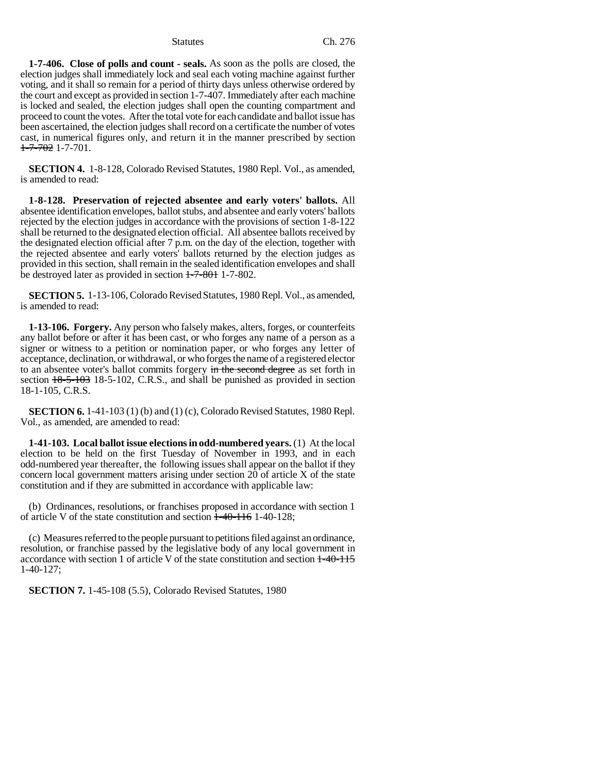**1-7-406. Close of polls and count - seals.** As soon as the polls are closed, the election judges shall immediately lock and seal each voting machine against further voting, and it shall so remain for a period of thirty days unless otherwise ordered by the court and except as provided in section 1-7-407. Immediately after each machine is locked and sealed, the election judges shall open the counting compartment and proceed to count the votes. After the total vote for each candidate and ballot issue has been ascertained, the election judges shall record on a certificate the number of votes cast, in numerical figures only, and return it in the manner prescribed by section 1-7-702 1-7-701.

**SECTION 4.** 1-8-128, Colorado Revised Statutes, 1980 Repl. Vol., as amended, is amended to read:

**1-8-128. Preservation of rejected absentee and early voters' ballots.** All absentee identification envelopes, ballot stubs, and absentee and early voters' ballots rejected by the election judges in accordance with the provisions of section 1-8-122 shall be returned to the designated election official. All absentee ballots received by the designated election official after 7 p.m. on the day of the election, together with the rejected absentee and early voters' ballots returned by the election judges as provided in this section, shall remain in the sealed identification envelopes and shall be destroyed later as provided in section  $1\overline{--7}$ -801 1-7-802.

**SECTION 5.** 1-13-106, Colorado Revised Statutes, 1980 Repl. Vol., as amended, is amended to read:

**1-13-106. Forgery.** Any person who falsely makes, alters, forges, or counterfeits any ballot before or after it has been cast, or who forges any name of a person as a signer or witness to a petition or nomination paper, or who forges any letter of acceptance, declination, or withdrawal, or who forges the name of a registered elector to an absentee voter's ballot commits forgery in the second degree as set forth in section  $18-5-103$  18-5-102, C.R.S., and shall be punished as provided in section 18-1-105, C.R.S.

**SECTION 6.** 1-41-103 (1) (b) and (1) (c), Colorado Revised Statutes, 1980 Repl. Vol., as amended, are amended to read:

**1-41-103. Local ballot issue elections in odd-numbered years.** (1) At the local election to be held on the first Tuesday of November in 1993, and in each odd-numbered year thereafter, the following issues shall appear on the ballot if they concern local government matters arising under section 20 of article X of the state constitution and if they are submitted in accordance with applicable law:

(b) Ordinances, resolutions, or franchises proposed in accordance with section 1 of article V of the state constitution and section  $\frac{1-40-116}{1-40-128}$ ;

(c) Measures referred to the people pursuant to petitions filed against an ordinance, resolution, or franchise passed by the legislative body of any local government in accordance with section 1 of article V of the state constitution and section 1-40-115 1-40-127;

**SECTION 7.** 1-45-108 (5.5), Colorado Revised Statutes, 1980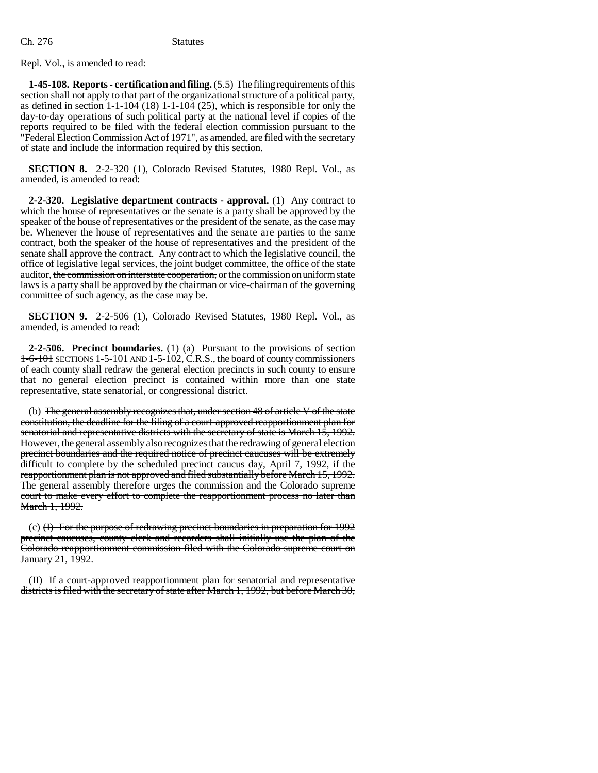Repl. Vol., is amended to read:

**1-45-108. Reports - certification and filing.** (5.5) The filing requirements of this section shall not apply to that part of the organizational structure of a political party, as defined in section  $1-1-104$   $(18)$  1-1-104  $(25)$ , which is responsible for only the day-to-day operations of such political party at the national level if copies of the reports required to be filed with the federal election commission pursuant to the "Federal Election Commission Act of 1971", as amended, are filed with the secretary of state and include the information required by this section.

**SECTION 8.** 2-2-320 (1), Colorado Revised Statutes, 1980 Repl. Vol., as amended, is amended to read:

**2-2-320. Legislative department contracts - approval.** (1) Any contract to which the house of representatives or the senate is a party shall be approved by the speaker of the house of representatives or the president of the senate, as the case may be. Whenever the house of representatives and the senate are parties to the same contract, both the speaker of the house of representatives and the president of the senate shall approve the contract. Any contract to which the legislative council, the office of legislative legal services, the joint budget committee, the office of the state auditor, the commission on interstate cooperation, or the commission on uniform state laws is a party shall be approved by the chairman or vice-chairman of the governing committee of such agency, as the case may be.

**SECTION 9.** 2-2-506 (1), Colorado Revised Statutes, 1980 Repl. Vol., as amended, is amended to read:

**2-2-506. Precinct boundaries.** (1) (a) Pursuant to the provisions of section 1-6-101 SECTIONS 1-5-101 AND 1-5-102, C.R.S., the board of county commissioners of each county shall redraw the general election precincts in such county to ensure that no general election precinct is contained within more than one state representative, state senatorial, or congressional district.

(b) The general assembly recognizes that, under section 48 of article V of the state constitution, the deadline for the filing of a court-approved reapportionment plan for senatorial and representative districts with the secretary of state is March 15, 1992. However, the general assembly also recognizes that the redrawing of general election precinct boundaries and the required notice of precinct caucuses will be extremely difficult to complete by the scheduled precinct caucus day, April 7, 1992, if the reapportionment plan is not approved and filed substantially before March 15, 1992. The general assembly therefore urges the commission and the Colorado supreme court to make every effort to complete the reapportionment process no later than March 1, 1992.

(c) (I) For the purpose of redrawing precinct boundaries in preparation for 1992 precinct caucuses, county clerk and recorders shall initially use the plan of the Colorado reapportionment commission filed with the Colorado supreme court on January 21, 1992.

(II) If a court-approved reapportionment plan for senatorial and representative districts is filed with the secretary of state after March 1, 1992, but before March 30,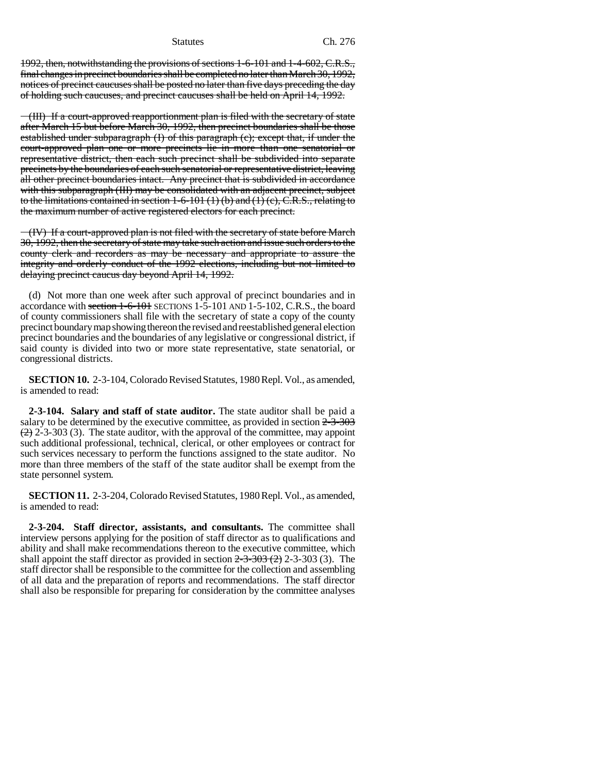1992, then, notwithstanding the provisions of sections 1-6-101 and 1-4-602, C.R.S., final changes in precinct boundaries shall be completed no later than March 30, 1992, notices of precinct caucuses shall be posted no later than five days preceding the day of holding such caucuses, and precinct caucuses shall be held on April 14, 1992.

(III) If a court-approved reapportionment plan is filed with the secretary of state after March 15 but before March 30, 1992, then precinct boundaries shall be those established under subparagraph (I) of this paragraph (c); except that, if under the court-approved plan one or more precincts lie in more than one senatorial or representative district, then each such precinct shall be subdivided into separate precincts by the boundaries of each such senatorial or representative district, leaving all other precinct boundaries intact. Any precinct that is subdivided in accordance with this subparagraph (III) may be consolidated with an adjacent precinct, subject to the limitations contained in section  $1-6-101(1)(b)$  and  $(1)(c)$ , C.R.S., relating to the maximum number of active registered electors for each precinct.

(IV) If a court-approved plan is not filed with the secretary of state before March 30, 1992, then the secretary of state may take such action and issue such orders to the county clerk and recorders as may be necessary and appropriate to assure the integrity and orderly conduct of the 1992 elections, including but not limited to delaying precinct caucus day beyond April 14, 1992.

(d) Not more than one week after such approval of precinct boundaries and in accordance with section  $1-6-101$  SECTIONS  $1-5-101$  AND  $1-5-102$ , C.R.S., the board of county commissioners shall file with the secretary of state a copy of the county precinct boundary map showing thereon the revised and reestablished general election precinct boundaries and the boundaries of any legislative or congressional district, if said county is divided into two or more state representative, state senatorial, or congressional districts.

**SECTION 10.** 2-3-104, Colorado Revised Statutes, 1980 Repl. Vol., as amended, is amended to read:

**2-3-104. Salary and staff of state auditor.** The state auditor shall be paid a salary to be determined by the executive committee, as provided in section  $2-3-303$  $(2)$  2-3-303 (3). The state auditor, with the approval of the committee, may appoint such additional professional, technical, clerical, or other employees or contract for such services necessary to perform the functions assigned to the state auditor. No more than three members of the staff of the state auditor shall be exempt from the state personnel system.

**SECTION 11.** 2-3-204, Colorado Revised Statutes, 1980 Repl. Vol., as amended, is amended to read:

**2-3-204. Staff director, assistants, and consultants.** The committee shall interview persons applying for the position of staff director as to qualifications and ability and shall make recommendations thereon to the executive committee, which shall appoint the staff director as provided in section  $2\frac{3}{2}3\frac{303}{2}$  (2) 2-3-303 (3). The staff director shall be responsible to the committee for the collection and assembling of all data and the preparation of reports and recommendations. The staff director shall also be responsible for preparing for consideration by the committee analyses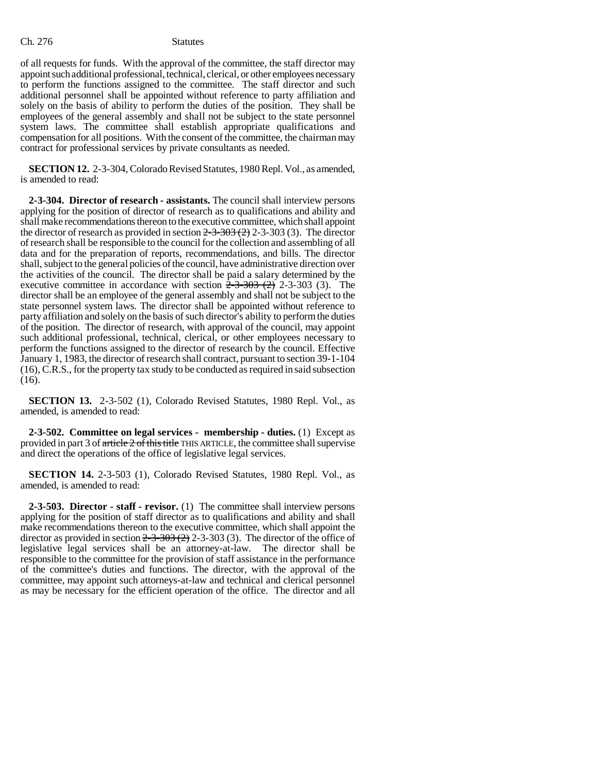of all requests for funds. With the approval of the committee, the staff director may appoint such additional professional, technical, clerical, or other employees necessary to perform the functions assigned to the committee. The staff director and such additional personnel shall be appointed without reference to party affiliation and solely on the basis of ability to perform the duties of the position. They shall be employees of the general assembly and shall not be subject to the state personnel system laws. The committee shall establish appropriate qualifications and compensation for all positions. With the consent of the committee, the chairman may contract for professional services by private consultants as needed.

**SECTION 12.** 2-3-304, Colorado Revised Statutes, 1980 Repl. Vol., as amended, is amended to read:

**2-3-304. Director of research - assistants.** The council shall interview persons applying for the position of director of research as to qualifications and ability and shall make recommendations thereon to the executive committee, which shall appoint the director of research as provided in section  $2-3-303(2)$  2-3-303 (3). The director of research shall be responsible to the council for the collection and assembling of all data and for the preparation of reports, recommendations, and bills. The director shall, subject to the general policies of the council, have administrative direction over the activities of the council. The director shall be paid a salary determined by the executive committee in accordance with section  $2-3-303$  (2)  $2-3-303$  (3). The director shall be an employee of the general assembly and shall not be subject to the state personnel system laws. The director shall be appointed without reference to party affiliation and solely on the basis of such director's ability to perform the duties of the position. The director of research, with approval of the council, may appoint such additional professional, technical, clerical, or other employees necessary to perform the functions assigned to the director of research by the council. Effective January 1, 1983, the director of research shall contract, pursuant to section 39-1-104 (16), C.R.S., for the property tax study to be conducted as required in said subsection (16).

**SECTION 13.** 2-3-502 (1), Colorado Revised Statutes, 1980 Repl. Vol., as amended, is amended to read:

**2-3-502. Committee on legal services - membership - duties.** (1) Except as provided in part 3 of article 2 of this title THIS ARTICLE, the committee shall supervise and direct the operations of the office of legislative legal services.

**SECTION 14.** 2-3-503 (1), Colorado Revised Statutes, 1980 Repl. Vol., as amended, is amended to read:

**2-3-503. Director - staff - revisor.** (1) The committee shall interview persons applying for the position of staff director as to qualifications and ability and shall make recommendations thereon to the executive committee, which shall appoint the director as provided in section  $2\frac{3}{2}3\frac{303}{2}$  (2) 2-3-303 (3). The director of the office of legislative legal services shall be an attorney-at-law. The director shall be responsible to the committee for the provision of staff assistance in the performance of the committee's duties and functions. The director, with the approval of the committee, may appoint such attorneys-at-law and technical and clerical personnel as may be necessary for the efficient operation of the office. The director and all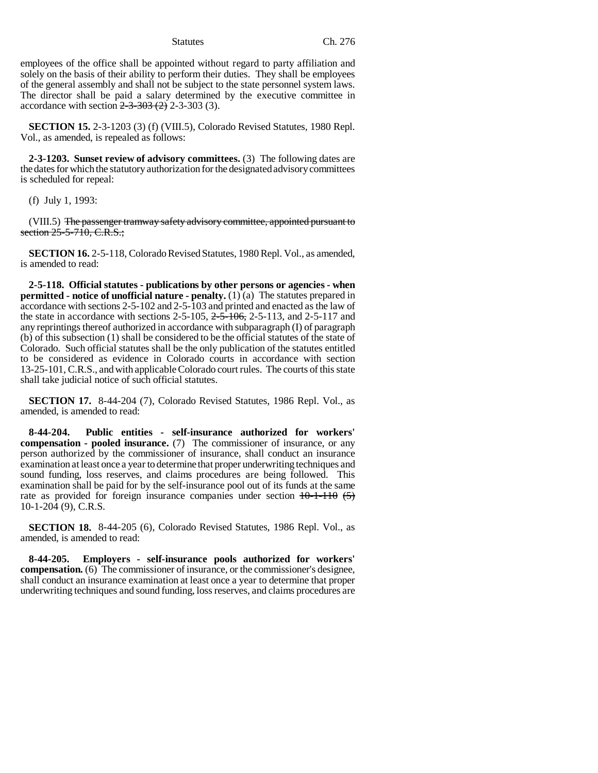employees of the office shall be appointed without regard to party affiliation and solely on the basis of their ability to perform their duties. They shall be employees of the general assembly and shall not be subject to the state personnel system laws. The director shall be paid a salary determined by the executive committee in accordance with section  $2-3-303$  (2)  $2-3-303$  (3).

**SECTION 15.** 2-3-1203 (3) (f) (VIII.5), Colorado Revised Statutes, 1980 Repl. Vol., as amended, is repealed as follows:

**2-3-1203. Sunset review of advisory committees.** (3) The following dates are the dates for which the statutory authorization for the designated advisory committees is scheduled for repeal:

(f) July 1, 1993:

(VIII.5) The passenger tramway safety advisory committee, appointed pursuant to section  $25 - 5 - 710$ , C.R.S.;

**SECTION 16.** 2-5-118, Colorado Revised Statutes, 1980 Repl. Vol., as amended, is amended to read:

**2-5-118. Official statutes - publications by other persons or agencies - when permitted - notice of unofficial nature - penalty.** (1) (a) The statutes prepared in accordance with sections 2-5-102 and 2-5-103 and printed and enacted as the law of the state in accordance with sections  $2-5-105$ ,  $2-5-106$ ,  $2-5-113$ , and  $2-5-117$  and any reprintings thereof authorized in accordance with subparagraph (I) of paragraph (b) of this subsection (1) shall be considered to be the official statutes of the state of Colorado. Such official statutes shall be the only publication of the statutes entitled to be considered as evidence in Colorado courts in accordance with section 13-25-101, C.R.S., and with applicable Colorado court rules. The courts of this state shall take judicial notice of such official statutes.

**SECTION 17.** 8-44-204 (7), Colorado Revised Statutes, 1986 Repl. Vol., as amended, is amended to read:

**8-44-204. Public entities - self-insurance authorized for workers' compensation - pooled insurance.** (7) The commissioner of insurance, or any person authorized by the commissioner of insurance, shall conduct an insurance examination at least once a year to determine that proper underwriting techniques and sound funding, loss reserves, and claims procedures are being followed. This examination shall be paid for by the self-insurance pool out of its funds at the same rate as provided for foreign insurance companies under section  $10-1-110$  (5) 10-1-204 (9), C.R.S.

**SECTION 18.** 8-44-205 (6), Colorado Revised Statutes, 1986 Repl. Vol., as amended, is amended to read:

**8-44-205. Employers - self-insurance pools authorized for workers' compensation.** (6) The commissioner of insurance, or the commissioner's designee, shall conduct an insurance examination at least once a year to determine that proper underwriting techniques and sound funding, loss reserves, and claims procedures are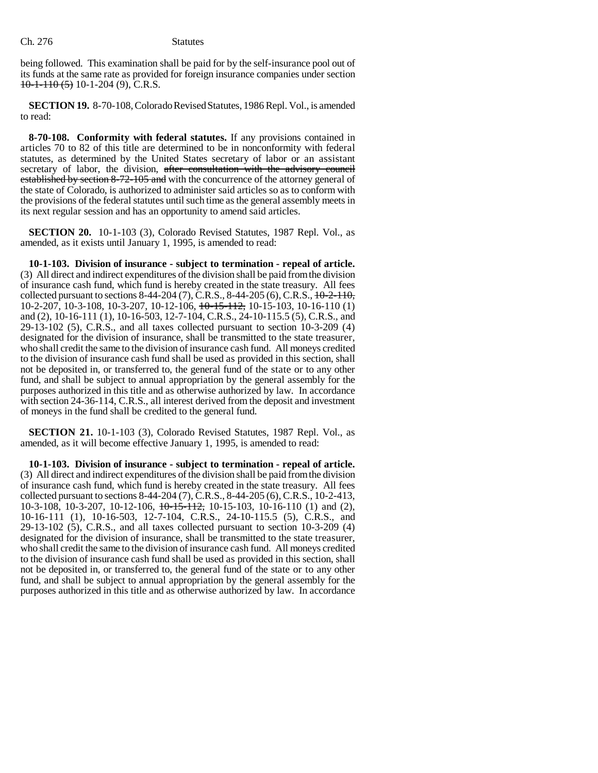Ch. 276 Statutes

being followed. This examination shall be paid for by the self-insurance pool out of its funds at the same rate as provided for foreign insurance companies under section  $10-1-110$  (5) 10-1-204 (9), C.R.S.

**SECTION 19.** 8-70-108, Colorado Revised Statutes, 1986 Repl. Vol., is amended to read:

**8-70-108. Conformity with federal statutes.** If any provisions contained in articles 70 to 82 of this title are determined to be in nonconformity with federal statutes, as determined by the United States secretary of labor or an assistant secretary of labor, the division, after consultation with the advisory council established by section 8-72-105 and with the concurrence of the attorney general of the state of Colorado, is authorized to administer said articles so as to conform with the provisions of the federal statutes until such time as the general assembly meets in its next regular session and has an opportunity to amend said articles.

**SECTION 20.** 10-1-103 (3), Colorado Revised Statutes, 1987 Repl. Vol., as amended, as it exists until January 1, 1995, is amended to read:

**10-1-103. Division of insurance - subject to termination - repeal of article.** (3) All direct and indirect expenditures of the division shall be paid from the division of insurance cash fund, which fund is hereby created in the state treasury. All fees collected pursuant to sections  $8-44-204$  (7), C.R.S.,  $8-44-205$  (6), C.R.S.,  $10-2-110$ , 10-2-207, 10-3-108, 10-3-207, 10-12-106, 10-15-112, 10-15-103, 10-16-110 (1) and (2), 10-16-111 (1), 10-16-503, 12-7-104, C.R.S., 24-10-115.5 (5), C.R.S., and 29-13-102 (5), C.R.S., and all taxes collected pursuant to section 10-3-209 (4) designated for the division of insurance, shall be transmitted to the state treasurer, who shall credit the same to the division of insurance cash fund. All moneys credited to the division of insurance cash fund shall be used as provided in this section, shall not be deposited in, or transferred to, the general fund of the state or to any other fund, and shall be subject to annual appropriation by the general assembly for the purposes authorized in this title and as otherwise authorized by law. In accordance with section 24-36-114, C.R.S., all interest derived from the deposit and investment of moneys in the fund shall be credited to the general fund.

**SECTION 21.** 10-1-103 (3), Colorado Revised Statutes, 1987 Repl. Vol., as amended, as it will become effective January 1, 1995, is amended to read:

**10-1-103. Division of insurance - subject to termination - repeal of article.** (3) All direct and indirect expenditures of the division shall be paid from the division of insurance cash fund, which fund is hereby created in the state treasury. All fees collected pursuant to sections 8-44-204 (7), C.R.S., 8-44-205 (6), C.R.S., 10-2-413, 10-3-108, 10-3-207, 10-12-106, 10-15-112, 10-15-103, 10-16-110 (1) and (2), 10-16-111 (1), 10-16-503, 12-7-104, C.R.S., 24-10-115.5 (5), C.R.S., and 29-13-102 (5), C.R.S., and all taxes collected pursuant to section 10-3-209 (4) designated for the division of insurance, shall be transmitted to the state treasurer, who shall credit the same to the division of insurance cash fund. All moneys credited to the division of insurance cash fund shall be used as provided in this section, shall not be deposited in, or transferred to, the general fund of the state or to any other fund, and shall be subject to annual appropriation by the general assembly for the purposes authorized in this title and as otherwise authorized by law. In accordance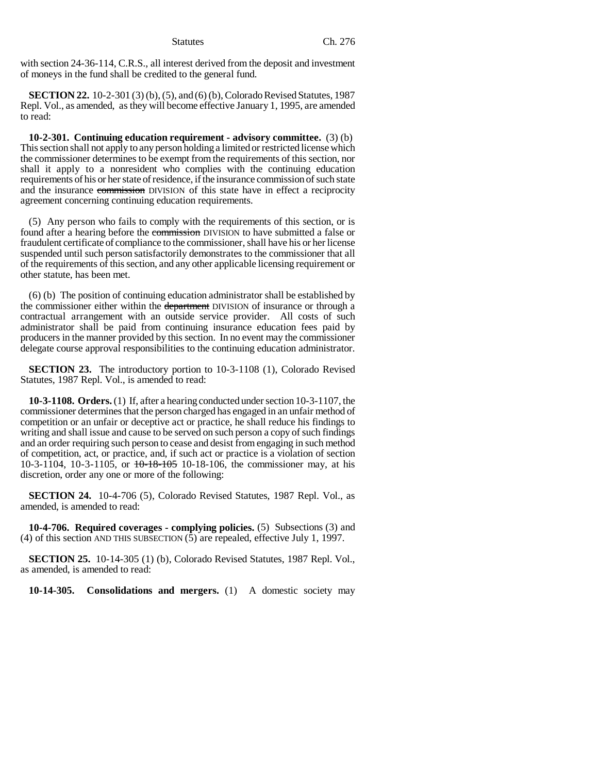with section 24-36-114, C.R.S., all interest derived from the deposit and investment of moneys in the fund shall be credited to the general fund.

**SECTION 22.** 10-2-301 (3) (b), (5), and (6) (b), Colorado Revised Statutes, 1987 Repl. Vol., as amended, as they will become effective January 1, 1995, are amended to read:

**10-2-301. Continuing education requirement - advisory committee.** (3) (b) This section shall not apply to any person holding a limited or restricted license which the commissioner determines to be exempt from the requirements of this section, nor shall it apply to a nonresident who complies with the continuing education requirements of his or her state of residence, if the insurance commission of such state and the insurance commission DIVISION of this state have in effect a reciprocity agreement concerning continuing education requirements.

(5) Any person who fails to comply with the requirements of this section, or is found after a hearing before the commission DIVISION to have submitted a false or fraudulent certificate of compliance to the commissioner, shall have his or her license suspended until such person satisfactorily demonstrates to the commissioner that all of the requirements of this section, and any other applicable licensing requirement or other statute, has been met.

(6) (b) The position of continuing education administrator shall be established by the commissioner either within the department DIVISION of insurance or through a contractual arrangement with an outside service provider. All costs of such administrator shall be paid from continuing insurance education fees paid by producers in the manner provided by this section. In no event may the commissioner delegate course approval responsibilities to the continuing education administrator.

**SECTION 23.** The introductory portion to 10-3-1108 (1), Colorado Revised Statutes, 1987 Repl. Vol., is amended to read:

**10-3-1108. Orders.** (1) If, after a hearing conducted under section 10-3-1107, the commissioner determines that the person charged has engaged in an unfair method of competition or an unfair or deceptive act or practice, he shall reduce his findings to writing and shall issue and cause to be served on such person a copy of such findings and an order requiring such person to cease and desist from engaging in such method of competition, act, or practice, and, if such act or practice is a violation of section 10-3-1104, 10-3-1105, or 10-18-105 10-18-106, the commissioner may, at his discretion, order any one or more of the following:

**SECTION 24.** 10-4-706 (5), Colorado Revised Statutes, 1987 Repl. Vol., as amended, is amended to read:

**10-4-706. Required coverages - complying policies.** (5) Subsections (3) and (4) of this section AND THIS SUBSECTION (5) are repealed, effective July 1, 1997.

**SECTION 25.** 10-14-305 (1) (b), Colorado Revised Statutes, 1987 Repl. Vol., as amended, is amended to read:

**10-14-305. Consolidations and mergers.** (1) A domestic society may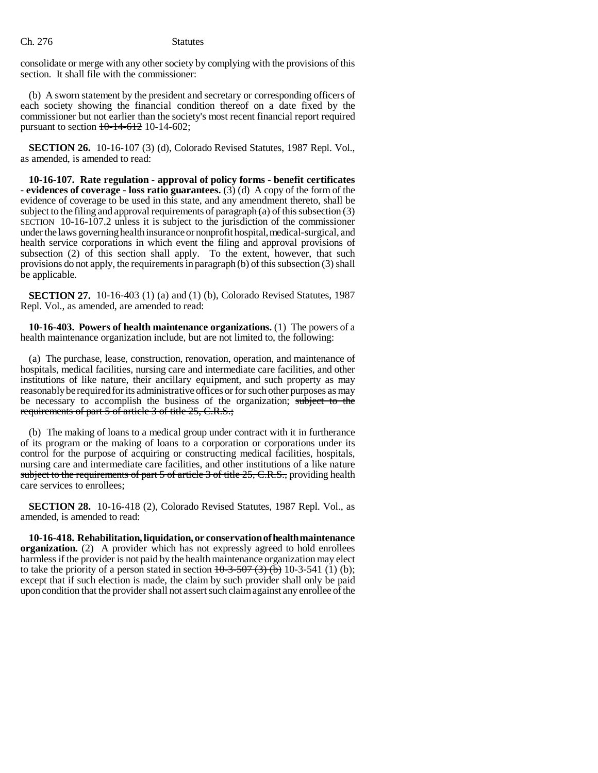Ch. 276 Statutes

consolidate or merge with any other society by complying with the provisions of this section. It shall file with the commissioner:

(b) A sworn statement by the president and secretary or corresponding officers of each society showing the financial condition thereof on a date fixed by the commissioner but not earlier than the society's most recent financial report required pursuant to section  $10-14-612$  10-14-602;

**SECTION 26.** 10-16-107 (3) (d), Colorado Revised Statutes, 1987 Repl. Vol., as amended, is amended to read:

**10-16-107. Rate regulation - approval of policy forms - benefit certificates - evidences of coverage - loss ratio guarantees.** (3) (d) A copy of the form of the evidence of coverage to be used in this state, and any amendment thereto, shall be subject to the filing and approval requirements of  $\frac{\partial}{\partial x}$  (a) of this subsection (3) SECTION 10-16-107.2 unless it is subject to the jurisdiction of the commissioner under the laws governing health insurance or nonprofit hospital, medical-surgical, and health service corporations in which event the filing and approval provisions of subsection (2) of this section shall apply. To the extent, however, that such provisions do not apply, the requirements in paragraph (b) of this subsection (3) shall be applicable.

**SECTION 27.** 10-16-403 (1) (a) and (1) (b), Colorado Revised Statutes, 1987 Repl. Vol., as amended, are amended to read:

**10-16-403. Powers of health maintenance organizations.** (1) The powers of a health maintenance organization include, but are not limited to, the following:

(a) The purchase, lease, construction, renovation, operation, and maintenance of hospitals, medical facilities, nursing care and intermediate care facilities, and other institutions of like nature, their ancillary equipment, and such property as may reasonably be required for its administrative offices or for such other purposes as may be necessary to accomplish the business of the organization; subject to the requirements of part 5 of article 3 of title 25, C.R.S.;

(b) The making of loans to a medical group under contract with it in furtherance of its program or the making of loans to a corporation or corporations under its control for the purpose of acquiring or constructing medical facilities, hospitals, nursing care and intermediate care facilities, and other institutions of a like nature subject to the requirements of part 5 of article 3 of title 25, C.R.S., providing health care services to enrollees;

**SECTION 28.** 10-16-418 (2), Colorado Revised Statutes, 1987 Repl. Vol., as amended, is amended to read:

**10-16-418. Rehabilitation, liquidation, or conservation of health maintenance organization.** (2) A provider which has not expressly agreed to hold enrollees harmless if the provider is not paid by the health maintenance organization may elect to take the priority of a person stated in section  $10-3-507(3)$  (b) 10-3-541 (1) (b); except that if such election is made, the claim by such provider shall only be paid upon condition that the provider shall not assert such claim against any enrollee of the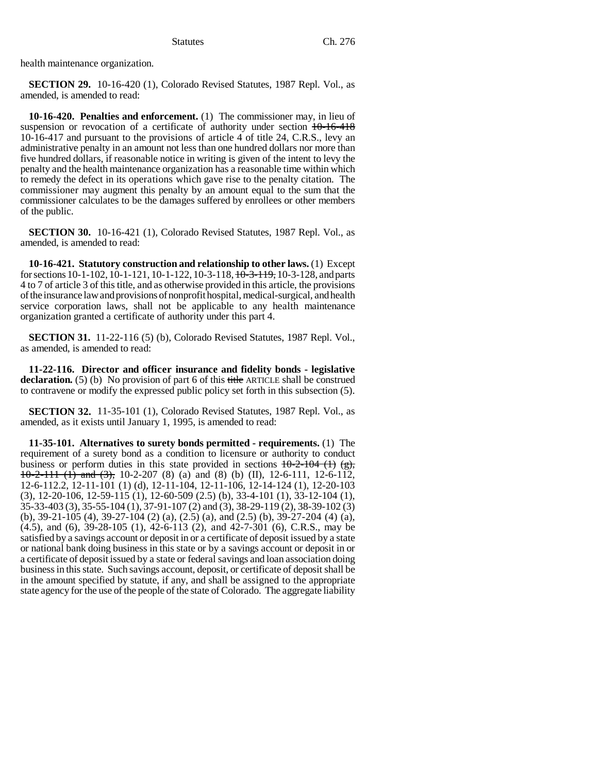health maintenance organization.

**SECTION 29.** 10-16-420 (1), Colorado Revised Statutes, 1987 Repl. Vol., as amended, is amended to read:

**10-16-420. Penalties and enforcement.** (1) The commissioner may, in lieu of suspension or revocation of a certificate of authority under section  $10-16-418$ 10-16-417 and pursuant to the provisions of article 4 of title 24, C.R.S., levy an administrative penalty in an amount not less than one hundred dollars nor more than five hundred dollars, if reasonable notice in writing is given of the intent to levy the penalty and the health maintenance organization has a reasonable time within which to remedy the defect in its operations which gave rise to the penalty citation. The commissioner may augment this penalty by an amount equal to the sum that the commissioner calculates to be the damages suffered by enrollees or other members of the public.

**SECTION 30.** 10-16-421 (1), Colorado Revised Statutes, 1987 Repl. Vol., as amended, is amended to read:

**10-16-421. Statutory construction and relationship to other laws.** (1) Except for sections 10-1-102, 10-1-121, 10-1-122, 10-3-118, 10-3-119, 10-3-128, and parts 4 to 7 of article 3 of this title, and as otherwise provided in this article, the provisions of the insurance law and provisions of nonprofit hospital, medical-surgical, and health service corporation laws, shall not be applicable to any health maintenance organization granted a certificate of authority under this part 4.

**SECTION 31.** 11-22-116 (5) (b), Colorado Revised Statutes, 1987 Repl. Vol., as amended, is amended to read:

**11-22-116. Director and officer insurance and fidelity bonds - legislative** declaration. (5) (b) No provision of part 6 of this title ARTICLE shall be construed to contravene or modify the expressed public policy set forth in this subsection (5).

**SECTION 32.** 11-35-101 (1), Colorado Revised Statutes, 1987 Repl. Vol., as amended, as it exists until January 1, 1995, is amended to read:

**11-35-101. Alternatives to surety bonds permitted - requirements.** (1) The requirement of a surety bond as a condition to licensure or authority to conduct business or perform duties in this state provided in sections  $10-2-104$  (1) (g),  $10-2-111$  (1) and (3), 10-2-207 (8) (a) and (8) (b) (II), 12-6-111, 12-6-112, 12-6-112.2, 12-11-101 (1) (d), 12-11-104, 12-11-106, 12-14-124 (1), 12-20-103 (3), 12-20-106, 12-59-115 (1), 12-60-509 (2.5) (b), 33-4-101 (1), 33-12-104 (1), 35-33-403 (3), 35-55-104 (1), 37-91-107 (2) and (3), 38-29-119 (2), 38-39-102 (3) (b), 39-21-105 (4), 39-27-104 (2) (a), (2.5) (a), and (2.5) (b), 39-27-204 (4) (a), (4.5), and (6), 39-28-105 (1), 42-6-113 (2), and 42-7-301 (6), C.R.S., may be satisfied by a savings account or deposit in or a certificate of deposit issued by a state or national bank doing business in this state or by a savings account or deposit in or a certificate of deposit issued by a state or federal savings and loan association doing business in this state. Such savings account, deposit, or certificate of deposit shall be in the amount specified by statute, if any, and shall be assigned to the appropriate state agency for the use of the people of the state of Colorado. The aggregate liability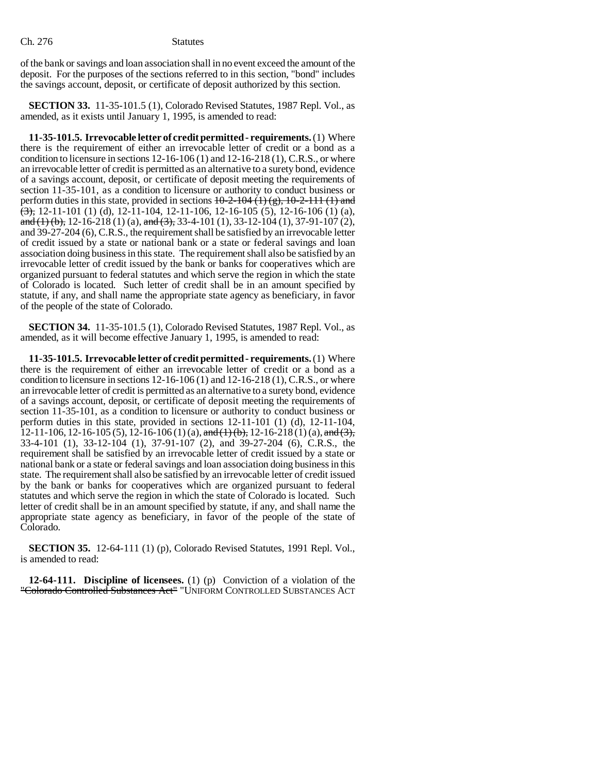of the bank or savings and loan association shall in no event exceed the amount of the deposit. For the purposes of the sections referred to in this section, "bond" includes the savings account, deposit, or certificate of deposit authorized by this section.

**SECTION 33.** 11-35-101.5 (1), Colorado Revised Statutes, 1987 Repl. Vol., as amended, as it exists until January 1, 1995, is amended to read:

**11-35-101.5. Irrevocable letter of credit permitted - requirements.** (1) Where there is the requirement of either an irrevocable letter of credit or a bond as a condition to licensure in sections  $12-16-106(1)$  and  $12-16-218(1)$ , C.R.S., or where an irrevocable letter of credit is permitted as an alternative to a surety bond, evidence of a savings account, deposit, or certificate of deposit meeting the requirements of section 11-35-101, as a condition to licensure or authority to conduct business or perform duties in this state, provided in sections  $10-2-104$  (1) (g),  $10-2-111$  (1) and  $\left(\frac{3}{2}\right)$ , 12-11-101 (1) (d), 12-11-104, 12-11-106, 12-16-105 (5), 12-16-106 (1) (a), and (1) (b), 12-16-218 (1) (a), and (3), 33-4-101 (1), 33-12-104 (1), 37-91-107 (2), and 39-27-204 (6), C.R.S., the requirement shall be satisfied by an irrevocable letter of credit issued by a state or national bank or a state or federal savings and loan association doing business in this state. The requirement shall also be satisfied by an irrevocable letter of credit issued by the bank or banks for cooperatives which are organized pursuant to federal statutes and which serve the region in which the state of Colorado is located. Such letter of credit shall be in an amount specified by statute, if any, and shall name the appropriate state agency as beneficiary, in favor of the people of the state of Colorado.

**SECTION 34.** 11-35-101.5 (1), Colorado Revised Statutes, 1987 Repl. Vol., as amended, as it will become effective January 1, 1995, is amended to read:

**11-35-101.5. Irrevocable letter of credit permitted - requirements.** (1) Where there is the requirement of either an irrevocable letter of credit or a bond as a condition to licensure in sections 12-16-106 (1) and 12-16-218 (1), C.R.S., or where an irrevocable letter of credit is permitted as an alternative to a surety bond, evidence of a savings account, deposit, or certificate of deposit meeting the requirements of section 11-35-101, as a condition to licensure or authority to conduct business or perform duties in this state, provided in sections 12-11-101 (1) (d), 12-11-104, 12-11-106, 12-16-105 (5), 12-16-106 (1) (a), and (1) (b), 12-16-218 (1) (a), and (3), 33-4-101 (1), 33-12-104 (1), 37-91-107 (2), and 39-27-204 (6), C.R.S., the requirement shall be satisfied by an irrevocable letter of credit issued by a state or national bank or a state or federal savings and loan association doing business in this state. The requirement shall also be satisfied by an irrevocable letter of credit issued by the bank or banks for cooperatives which are organized pursuant to federal statutes and which serve the region in which the state of Colorado is located. Such letter of credit shall be in an amount specified by statute, if any, and shall name the appropriate state agency as beneficiary, in favor of the people of the state of Colorado.

**SECTION 35.** 12-64-111 (1) (p), Colorado Revised Statutes, 1991 Repl. Vol., is amended to read:

**12-64-111. Discipline of licensees.** (1) (p) Conviction of a violation of the "Colorado Controlled Substances Act" "UNIFORM CONTROLLED SUBSTANCES ACT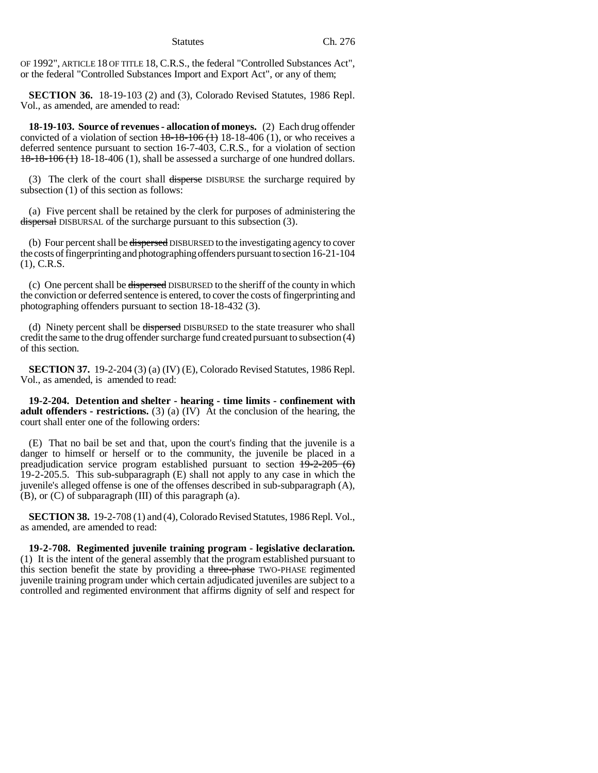OF 1992", ARTICLE 18 OF TITLE 18, C.R.S., the federal "Controlled Substances Act", or the federal "Controlled Substances Import and Export Act", or any of them;

**SECTION 36.** 18-19-103 (2) and (3), Colorado Revised Statutes, 1986 Repl. Vol., as amended, are amended to read:

**18-19-103. Source of revenues - allocation of moneys.** (2) Each drug offender convicted of a violation of section  $18-18-106$  (1) 18-18-406 (1), or who receives a deferred sentence pursuant to section 16-7-403, C.R.S., for a violation of section 18-18-106 (1) 18-18-406 (1), shall be assessed a surcharge of one hundred dollars.

(3) The clerk of the court shall disperse DISBURSE the surcharge required by subsection (1) of this section as follows:

(a) Five percent shall be retained by the clerk for purposes of administering the dispersal DISBURSAL of the surcharge pursuant to this subsection (3).

(b) Four percent shall be dispersed DISBURSED to the investigating agency to cover the costs of fingerprinting and photographing offenders pursuant to section 16-21-104 (1), C.R.S.

(c) One percent shall be dispersed DISBURSED to the sheriff of the county in which the conviction or deferred sentence is entered, to cover the costs of fingerprinting and photographing offenders pursuant to section 18-18-432 (3).

(d) Ninety percent shall be dispersed DISBURSED to the state treasurer who shall credit the same to the drug offender surcharge fund created pursuant to subsection (4) of this section.

**SECTION 37.** 19-2-204 (3) (a) (IV) (E), Colorado Revised Statutes, 1986 Repl. Vol., as amended, is amended to read:

**19-2-204. Detention and shelter - hearing - time limits - confinement with adult offenders - restrictions.** (3) (a) (IV) At the conclusion of the hearing, the court shall enter one of the following orders:

(E) That no bail be set and that, upon the court's finding that the juvenile is a danger to himself or herself or to the community, the juvenile be placed in a preadjudication service program established pursuant to section  $19-2-205(6)$ 19-2-205.5. This sub-subparagraph (E) shall not apply to any case in which the juvenile's alleged offense is one of the offenses described in sub-subparagraph (A), (B), or (C) of subparagraph (III) of this paragraph (a).

**SECTION 38.** 19-2-708 (1) and (4), Colorado Revised Statutes, 1986 Repl. Vol., as amended, are amended to read:

**19-2-708. Regimented juvenile training program - legislative declaration.** (1) It is the intent of the general assembly that the program established pursuant to this section benefit the state by providing a three-phase TWO-PHASE regimented juvenile training program under which certain adjudicated juveniles are subject to a controlled and regimented environment that affirms dignity of self and respect for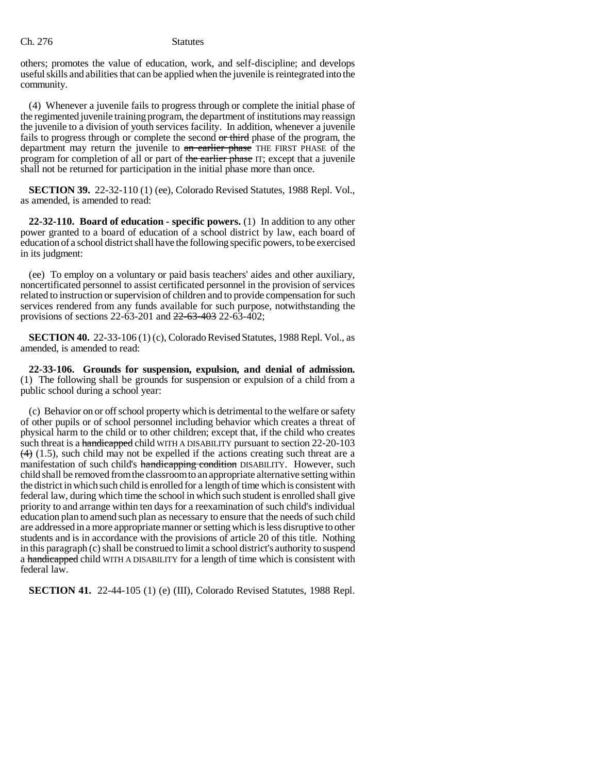others; promotes the value of education, work, and self-discipline; and develops useful skills and abilities that can be applied when the juvenile is reintegrated into the community.

(4) Whenever a juvenile fails to progress through or complete the initial phase of the regimented juvenile training program, the department of institutions may reassign the juvenile to a division of youth services facility. In addition, whenever a juvenile fails to progress through or complete the second or third phase of the program, the department may return the juvenile to an earlier phase THE FIRST PHASE of the program for completion of all or part of the earlier phase IT; except that a juvenile shall not be returned for participation in the initial phase more than once.

**SECTION 39.** 22-32-110 (1) (ee), Colorado Revised Statutes, 1988 Repl. Vol., as amended, is amended to read:

**22-32-110. Board of education - specific powers.** (1) In addition to any other power granted to a board of education of a school district by law, each board of education of a school district shall have the following specific powers, to be exercised in its judgment:

(ee) To employ on a voluntary or paid basis teachers' aides and other auxiliary, noncertificated personnel to assist certificated personnel in the provision of services related to instruction or supervision of children and to provide compensation for such services rendered from any funds available for such purpose, notwithstanding the provisions of sections 22-63-201 and 22-63-403 22-63-402;

**SECTION 40.** 22-33-106 (1) (c), Colorado Revised Statutes, 1988 Repl. Vol., as amended, is amended to read:

**22-33-106. Grounds for suspension, expulsion, and denial of admission.** (1) The following shall be grounds for suspension or expulsion of a child from a public school during a school year:

(c) Behavior on or off school property which is detrimental to the welfare or safety of other pupils or of school personnel including behavior which creates a threat of physical harm to the child or to other children; except that, if the child who creates such threat is a handicapped child WITH A DISABILITY pursuant to section 22-20-103  $(4)$  (1.5), such child may not be expelled if the actions creating such threat are a manifestation of such child's handicapping condition DISABILITY. However, such child shall be removed from the classroom to an appropriate alternative setting within the district in which such child is enrolled for a length of time which is consistent with federal law, during which time the school in which such student is enrolled shall give priority to and arrange within ten days for a reexamination of such child's individual education plan to amend such plan as necessary to ensure that the needs of such child are addressed in a more appropriate manner or setting which is less disruptive to other students and is in accordance with the provisions of article 20 of this title. Nothing in this paragraph (c) shall be construed to limit a school district's authority to suspend a handicapped child WITH A DISABILITY for a length of time which is consistent with federal law.

**SECTION 41.** 22-44-105 (1) (e) (III), Colorado Revised Statutes, 1988 Repl.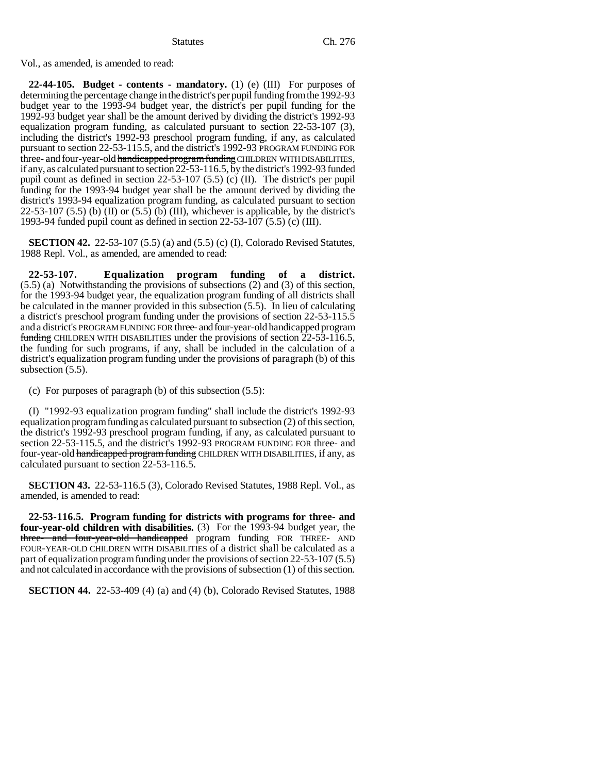Vol., as amended, is amended to read:

**22-44-105. Budget - contents - mandatory.** (1) (e) (III) For purposes of determining the percentage change in the district's per pupil funding from the 1992-93 budget year to the 1993-94 budget year, the district's per pupil funding for the 1992-93 budget year shall be the amount derived by dividing the district's 1992-93 equalization program funding, as calculated pursuant to section 22-53-107 (3), including the district's 1992-93 preschool program funding, if any, as calculated pursuant to section 22-53-115.5, and the district's 1992-93 PROGRAM FUNDING FOR three- and four-year-old handicapped program funding CHILDREN WITH DISABILITIES, if any, as calculated pursuant to section 22-53-116.5, by the district's 1992-93 funded pupil count as defined in section 22-53-107 (5.5) (c) (II). The district's per pupil funding for the 1993-94 budget year shall be the amount derived by dividing the district's 1993-94 equalization program funding, as calculated pursuant to section  $22-53-107$  (5.5) (b) (II) or (5.5) (b) (III), whichever is applicable, by the district's 1993-94 funded pupil count as defined in section 22-53-107 (5.5) (c) (III).

**SECTION 42.** 22-53-107 (5.5) (a) and (5.5) (c) (I), Colorado Revised Statutes, 1988 Repl. Vol., as amended, are amended to read:

**22-53-107. Equalization program funding of a district.** (5.5) (a) Notwithstanding the provisions of subsections (2) and (3) of this section, for the 1993-94 budget year, the equalization program funding of all districts shall be calculated in the manner provided in this subsection (5.5). In lieu of calculating a district's preschool program funding under the provisions of section 22-53-115.5 and a district's PROGRAM FUNDING FOR three- and four-year-old handicapped program funding CHILDREN WITH DISABILITIES under the provisions of section 22-53-116.5, the funding for such programs, if any, shall be included in the calculation of a district's equalization program funding under the provisions of paragraph (b) of this subsection  $(5.5)$ .

(c) For purposes of paragraph (b) of this subsection (5.5):

(I) "1992-93 equalization program funding" shall include the district's 1992-93 equalization program funding as calculated pursuant to subsection (2) of this section, the district's 1992-93 preschool program funding, if any, as calculated pursuant to section 22-53-115.5, and the district's 1992-93 PROGRAM FUNDING FOR three- and four-year-old handicapped program funding CHILDREN WITH DISABILITIES, if any, as calculated pursuant to section 22-53-116.5.

**SECTION 43.** 22-53-116.5 (3), Colorado Revised Statutes, 1988 Repl. Vol., as amended, is amended to read:

**22-53-116.5. Program funding for districts with programs for three- and four-year-old children with disabilities.** (3) For the 1993-94 budget year, the three- and four-year-old handicapped program funding FOR THREE- AND FOUR-YEAR-OLD CHILDREN WITH DISABILITIES of a district shall be calculated as a part of equalization program funding under the provisions of section 22-53-107 (5.5) and not calculated in accordance with the provisions of subsection (1) of this section.

**SECTION 44.** 22-53-409 (4) (a) and (4) (b), Colorado Revised Statutes, 1988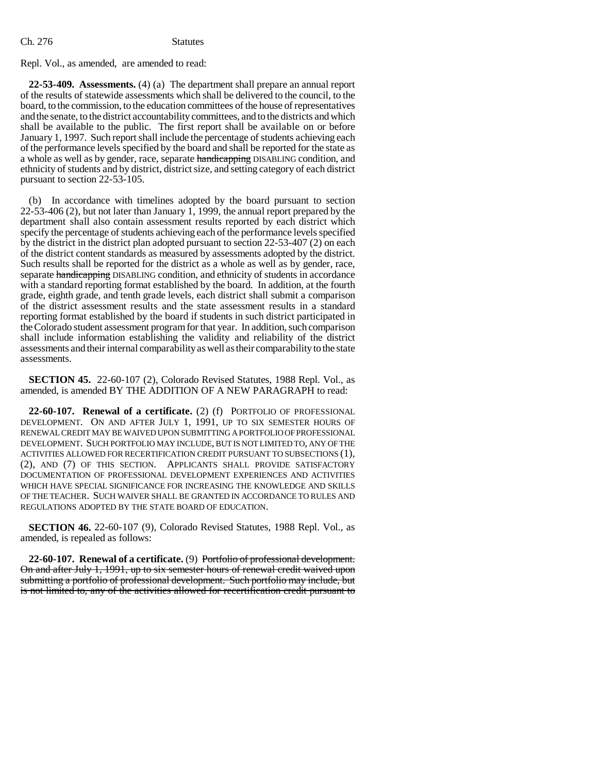Ch. 276 Statutes

Repl. Vol., as amended, are amended to read:

**22-53-409. Assessments.** (4) (a) The department shall prepare an annual report of the results of statewide assessments which shall be delivered to the council, to the board, to the commission, to the education committees of the house of representatives and the senate, to the district accountability committees, and to the districts and which shall be available to the public. The first report shall be available on or before January 1, 1997. Such report shall include the percentage of students achieving each of the performance levels specified by the board and shall be reported for the state as a whole as well as by gender, race, separate handicapping DISABLING condition, and ethnicity of students and by district, district size, and setting category of each district pursuant to section 22-53-105.

(b) In accordance with timelines adopted by the board pursuant to section 22-53-406 (2), but not later than January 1, 1999, the annual report prepared by the department shall also contain assessment results reported by each district which specify the percentage of students achieving each of the performance levels specified by the district in the district plan adopted pursuant to section 22-53-407 (2) on each of the district content standards as measured by assessments adopted by the district. Such results shall be reported for the district as a whole as well as by gender, race, separate handicapping DISABLING condition, and ethnicity of students in accordance with a standard reporting format established by the board. In addition, at the fourth grade, eighth grade, and tenth grade levels, each district shall submit a comparison of the district assessment results and the state assessment results in a standard reporting format established by the board if students in such district participated in the Colorado student assessment program for that year. In addition, such comparison shall include information establishing the validity and reliability of the district assessments and their internal comparability as well as their comparability to the state assessments.

**SECTION 45.** 22-60-107 (2), Colorado Revised Statutes, 1988 Repl. Vol., as amended, is amended BY THE ADDITION OF A NEW PARAGRAPH to read:

**22-60-107. Renewal of a certificate.** (2) (f) PORTFOLIO OF PROFESSIONAL DEVELOPMENT. ON AND AFTER JULY 1, 1991, UP TO SIX SEMESTER HOURS OF RENEWAL CREDIT MAY BE WAIVED UPON SUBMITTING A PORTFOLIO OF PROFESSIONAL DEVELOPMENT. SUCH PORTFOLIO MAY INCLUDE, BUT IS NOT LIMITED TO, ANY OF THE ACTIVITIES ALLOWED FOR RECERTIFICATION CREDIT PURSUANT TO SUBSECTIONS (1), (2), AND (7) OF THIS SECTION. APPLICANTS SHALL PROVIDE SATISFACTORY DOCUMENTATION OF PROFESSIONAL DEVELOPMENT EXPERIENCES AND ACTIVITIES WHICH HAVE SPECIAL SIGNIFICANCE FOR INCREASING THE KNOWLEDGE AND SKILLS OF THE TEACHER. SUCH WAIVER SHALL BE GRANTED IN ACCORDANCE TO RULES AND REGULATIONS ADOPTED BY THE STATE BOARD OF EDUCATION.

**SECTION 46.** 22-60-107 (9), Colorado Revised Statutes, 1988 Repl. Vol., as amended, is repealed as follows:

**22-60-107. Renewal of a certificate.** (9) Portfolio of professional development. On and after July 1, 1991, up to six semester hours of renewal credit waived upon submitting a portfolio of professional development. Such portfolio may include, but is not limited to, any of the activities allowed for recertification credit pursuant to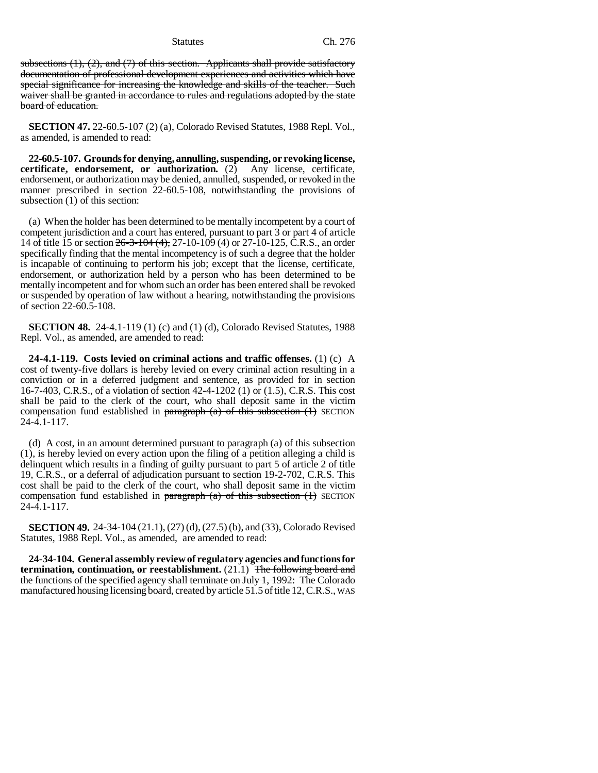subsections  $(1)$ ,  $(2)$ , and  $(7)$  of this section. Applicants shall provide satisfactory documentation of professional development experiences and activities which have special significance for increasing the knowledge and skills of the teacher. Such waiver shall be granted in accordance to rules and regulations adopted by the state board of education.

**SECTION 47.** 22-60.5-107 (2) (a), Colorado Revised Statutes, 1988 Repl. Vol., as amended, is amended to read:

**22-60.5-107. Grounds for denying, annulling, suspending, or revoking license, certificate, endorsement, or authorization.** (2) Any license, certificate, endorsement, or authorization may be denied, annulled, suspended, or revoked in the manner prescribed in section 22-60.5-108, notwithstanding the provisions of subsection (1) of this section:

(a) When the holder has been determined to be mentally incompetent by a court of competent jurisdiction and a court has entered, pursuant to part 3 or part 4 of article 14 of title 15 or section 26-3-104 (4), 27-10-109 (4) or 27-10-125, C.R.S., an order specifically finding that the mental incompetency is of such a degree that the holder is incapable of continuing to perform his job; except that the license, certificate, endorsement, or authorization held by a person who has been determined to be mentally incompetent and for whom such an order has been entered shall be revoked or suspended by operation of law without a hearing, notwithstanding the provisions of section 22-60.5-108.

**SECTION 48.** 24-4.1-119 (1) (c) and (1) (d), Colorado Revised Statutes, 1988 Repl. Vol., as amended, are amended to read:

**24-4.1-119. Costs levied on criminal actions and traffic offenses.** (1) (c) A cost of twenty-five dollars is hereby levied on every criminal action resulting in a conviction or in a deferred judgment and sentence, as provided for in section 16-7-403, C.R.S., of a violation of section 42-4-1202 (1) or (1.5), C.R.S. This cost shall be paid to the clerk of the court, who shall deposit same in the victim compensation fund established in paragraph  $(a)$  of this subsection  $(1)$  SECTION 24-4.1-117.

(d) A cost, in an amount determined pursuant to paragraph (a) of this subsection (1), is hereby levied on every action upon the filing of a petition alleging a child is delinquent which results in a finding of guilty pursuant to part 5 of article 2 of title 19, C.R.S., or a deferral of adjudication pursuant to section 19-2-702, C.R.S. This cost shall be paid to the clerk of the court, who shall deposit same in the victim compensation fund established in paragraph  $(a)$  of this subsection  $(1)$  SECTION  $24 - 4.1 - 117.$ 

**SECTION 49.** 24-34-104 (21.1), (27) (d), (27.5) (b), and (33), Colorado Revised Statutes, 1988 Repl. Vol., as amended, are amended to read:

**24-34-104. General assembly review of regulatory agencies and functions for termination, continuation, or reestablishment.** (21.1) The following board and the functions of the specified agency shall terminate on July 1, 1992. The Colorado manufactured housing licensing board, created by article 51.5 of title 12, C.R.S., WAS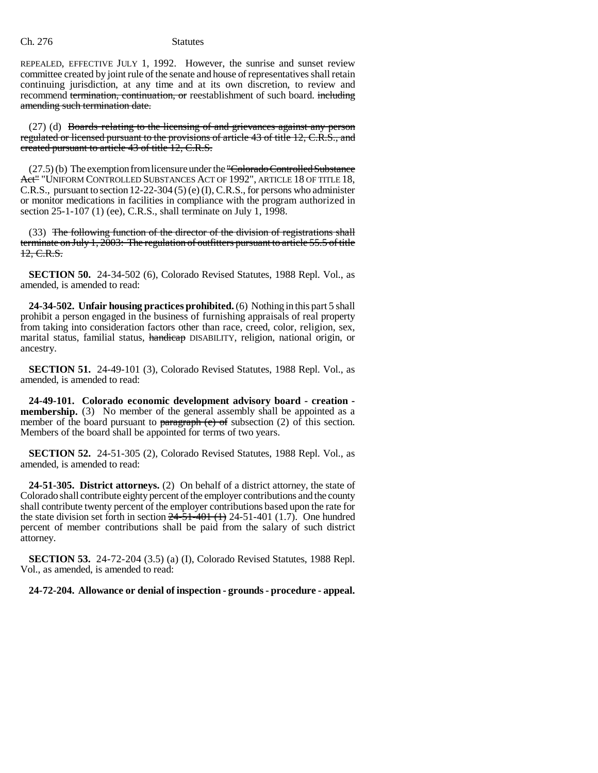REPEALED, EFFECTIVE JULY 1, 1992. However, the sunrise and sunset review committee created by joint rule of the senate and house of representatives shall retain continuing jurisdiction, at any time and at its own discretion, to review and recommend termination, continuation, or reestablishment of such board. including amending such termination date.

(27) (d) Boards relating to the licensing of and grievances against any person regulated or licensed pursuant to the provisions of article 43 of title 12, C.R.S., and created pursuant to article 43 of title 12, C.R.S.

 $(27.5)$  (b) The exemption from licensure under the "Colorado Controlled Substance Act" "UNIFORM CONTROLLED SUBSTANCES ACT OF 1992", ARTICLE 18 OF TITLE 18, C.R.S., pursuant to section 12-22-304 (5) (e) (I), C.R.S., for persons who administer or monitor medications in facilities in compliance with the program authorized in section 25-1-107 (1) (ee), C.R.S., shall terminate on July 1, 1998.

(33) The following function of the director of the division of registrations shall terminate on July 1, 2003: The regulation of outfitters pursuant to article 55.5 of title 12, C.R.S.

**SECTION 50.** 24-34-502 (6), Colorado Revised Statutes, 1988 Repl. Vol., as amended, is amended to read:

**24-34-502. Unfair housing practices prohibited.** (6) Nothing in this part 5 shall prohibit a person engaged in the business of furnishing appraisals of real property from taking into consideration factors other than race, creed, color, religion, sex, marital status, familial status, handicap DISABILITY, religion, national origin, or ancestry.

**SECTION 51.** 24-49-101 (3), Colorado Revised Statutes, 1988 Repl. Vol., as amended, is amended to read:

**24-49-101. Colorado economic development advisory board - creation membership.** (3) No member of the general assembly shall be appointed as a member of the board pursuant to  $\frac{\text{parameter of}}{\text{mean}}$  (e) of subsection (2) of this section. Members of the board shall be appointed for terms of two years.

**SECTION 52.** 24-51-305 (2), Colorado Revised Statutes, 1988 Repl. Vol., as amended, is amended to read:

**24-51-305. District attorneys.** (2) On behalf of a district attorney, the state of Colorado shall contribute eighty percent of the employer contributions and the county shall contribute twenty percent of the employer contributions based upon the rate for the state division set forth in section  $24-51-401$  (1) 24-51-401 (1.7). One hundred percent of member contributions shall be paid from the salary of such district attorney.

**SECTION 53.** 24-72-204 (3.5) (a) (I), Colorado Revised Statutes, 1988 Repl. Vol., as amended, is amended to read:

## **24-72-204. Allowance or denial of inspection - grounds - procedure - appeal.**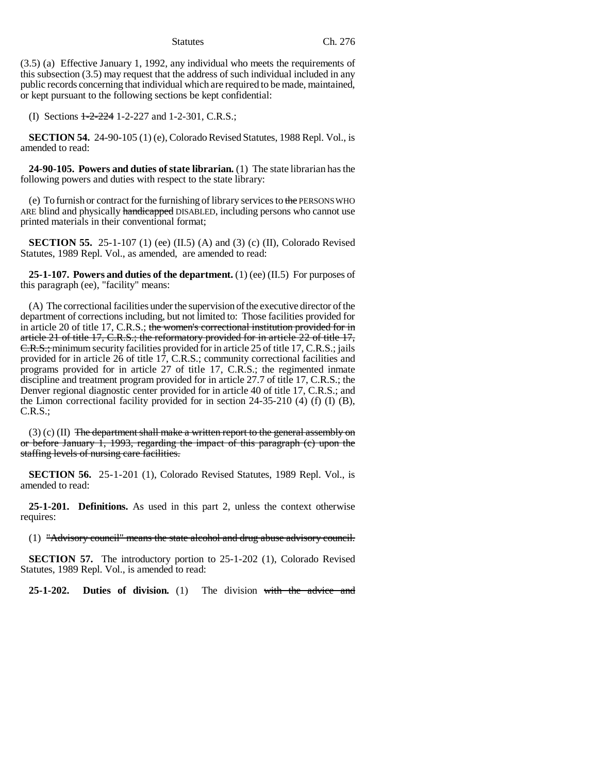(3.5) (a) Effective January 1, 1992, any individual who meets the requirements of this subsection (3.5) may request that the address of such individual included in any public records concerning that individual which are required to be made, maintained, or kept pursuant to the following sections be kept confidential:

(I) Sections  $1-2-224$  1-2-227 and 1-2-301, C.R.S.;

**SECTION 54.** 24-90-105 (1) (e), Colorado Revised Statutes, 1988 Repl. Vol., is amended to read:

**24-90-105. Powers and duties of state librarian.** (1) The state librarian has the following powers and duties with respect to the state library:

(e) To furnish or contract for the furnishing of library services to the PERSONS WHO ARE blind and physically handicapped DISABLED, including persons who cannot use printed materials in their conventional format;

**SECTION 55.** 25-1-107 (1) (ee) (II.5) (A) and (3) (c) (II), Colorado Revised Statutes, 1989 Repl. Vol., as amended, are amended to read:

**25-1-107. Powers and duties of the department.** (1) (ee) (II.5) For purposes of this paragraph (ee), "facility" means:

(A) The correctional facilities under the supervision of the executive director of the department of corrections including, but not limited to: Those facilities provided for in article 20 of title 17, C.R.S.; the women's correctional institution provided for in article 21 of title 17, C.R.S.; the reformatory provided for in article 22 of title 17, C.R.S.; minimum security facilities provided for in article 25 of title 17, C.R.S.; jails provided for in article 26 of title 17, C.R.S.; community correctional facilities and programs provided for in article 27 of title 17, C.R.S.; the regimented inmate discipline and treatment program provided for in article 27.7 of title 17, C.R.S.; the Denver regional diagnostic center provided for in article 40 of title 17, C.R.S.; and the Limon correctional facility provided for in section 24-35-210 (4) (f) (I) (B), C.R.S.;

 $(3)$  (c) (II) The department shall make a written report to the general assembly on or before January 1, 1993, regarding the impact of this paragraph (c) upon the staffing levels of nursing care facilities.

**SECTION 56.** 25-1-201 (1), Colorado Revised Statutes, 1989 Repl. Vol., is amended to read:

**25-1-201. Definitions.** As used in this part 2, unless the context otherwise requires:

(1) "Advisory council" means the state alcohol and drug abuse advisory council.

**SECTION 57.** The introductory portion to 25-1-202 (1), Colorado Revised Statutes, 1989 Repl. Vol., is amended to read:

**25-1-202. Duties of division.** (1) The division with the advice and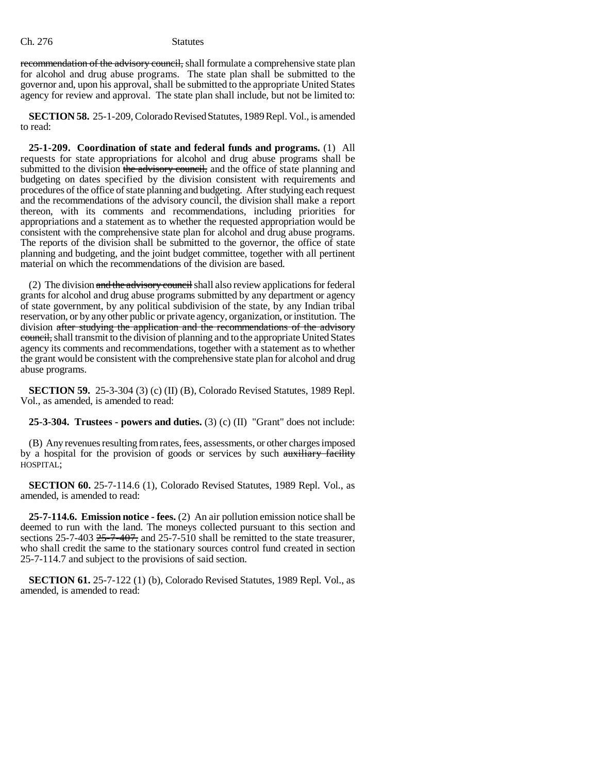recommendation of the advisory council, shall formulate a comprehensive state plan for alcohol and drug abuse programs. The state plan shall be submitted to the governor and, upon his approval, shall be submitted to the appropriate United States agency for review and approval. The state plan shall include, but not be limited to:

**SECTION 58.** 25-1-209, Colorado Revised Statutes, 1989 Repl. Vol., is amended to read:

**25-1-209. Coordination of state and federal funds and programs.** (1) All requests for state appropriations for alcohol and drug abuse programs shall be submitted to the division the advisory council, and the office of state planning and budgeting on dates specified by the division consistent with requirements and procedures of the office of state planning and budgeting. After studying each request and the recommendations of the advisory council, the division shall make a report thereon, with its comments and recommendations, including priorities for appropriations and a statement as to whether the requested appropriation would be consistent with the comprehensive state plan for alcohol and drug abuse programs. The reports of the division shall be submitted to the governor, the office of state planning and budgeting, and the joint budget committee, together with all pertinent material on which the recommendations of the division are based.

(2) The division  $\frac{1}{\text{and the adversary count}}$  shall also review applications for federal grants for alcohol and drug abuse programs submitted by any department or agency of state government, by any political subdivision of the state, by any Indian tribal reservation, or by any other public or private agency, organization, or institution. The division after studying the application and the recommendations of the advisory council, shall transmit to the division of planning and to the appropriate United States agency its comments and recommendations, together with a statement as to whether the grant would be consistent with the comprehensive state plan for alcohol and drug abuse programs.

**SECTION 59.** 25-3-304 (3) (c) (II) (B), Colorado Revised Statutes, 1989 Repl. Vol., as amended, is amended to read:

**25-3-304. Trustees - powers and duties.** (3) (c) (II) "Grant" does not include:

(B) Any revenues resulting from rates, fees, assessments, or other charges imposed by a hospital for the provision of goods or services by such auxiliary facility HOSPITAL;

**SECTION 60.** 25-7-114.6 (1), Colorado Revised Statutes, 1989 Repl. Vol., as amended, is amended to read:

**25-7-114.6. Emission notice - fees.** (2) An air pollution emission notice shall be deemed to run with the land. The moneys collected pursuant to this section and sections  $25-7-403$   $25-7-407$ , and  $25-7-510$  shall be remitted to the state treasurer, who shall credit the same to the stationary sources control fund created in section 25-7-114.7 and subject to the provisions of said section.

**SECTION 61.** 25-7-122 (1) (b), Colorado Revised Statutes, 1989 Repl. Vol., as amended, is amended to read: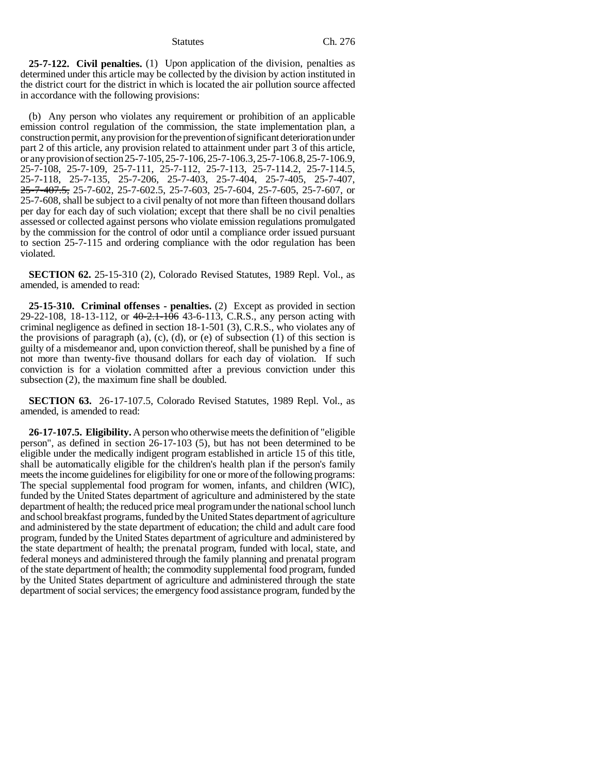**25-7-122. Civil penalties.** (1) Upon application of the division, penalties as determined under this article may be collected by the division by action instituted in the district court for the district in which is located the air pollution source affected in accordance with the following provisions:

(b) Any person who violates any requirement or prohibition of an applicable emission control regulation of the commission, the state implementation plan, a construction permit, any provision for the prevention of significant deterioration under part 2 of this article, any provision related to attainment under part 3 of this article, or any provision of section 25-7-105, 25-7-106, 25-7-106.3, 25-7-106.8, 25-7-106.9, 25-7-108, 25-7-109, 25-7-111, 25-7-112, 25-7-113, 25-7-114.2, 25-7-114.5, 25-7-118, 25-7-135, 25-7-206, 25-7-403, 25-7-404, 25-7-405, 25-7-407, 2<del>5-7-407.5,</del> 25-7-602, 25-7-602.5, 25-7-603, 25-7-604, 25-7-605, 25-7-607, or 25-7-608, shall be subject to a civil penalty of not more than fifteen thousand dollars per day for each day of such violation; except that there shall be no civil penalties assessed or collected against persons who violate emission regulations promulgated by the commission for the control of odor until a compliance order issued pursuant to section 25-7-115 and ordering compliance with the odor regulation has been violated.

**SECTION 62.** 25-15-310 (2), Colorado Revised Statutes, 1989 Repl. Vol., as amended, is amended to read:

**25-15-310. Criminal offenses - penalties.** (2) Except as provided in section 29-22-108, 18-13-112, or 40-2.1-106 43-6-113, C.R.S., any person acting with criminal negligence as defined in section 18-1-501 (3), C.R.S., who violates any of the provisions of paragraph  $(a)$ ,  $(c)$ ,  $(d)$ , or  $(e)$  of subsection  $(1)$  of this section is guilty of a misdemeanor and, upon conviction thereof, shall be punished by a fine of not more than twenty-five thousand dollars for each day of violation. If such conviction is for a violation committed after a previous conviction under this subsection (2), the maximum fine shall be doubled.

**SECTION 63.** 26-17-107.5, Colorado Revised Statutes, 1989 Repl. Vol., as amended, is amended to read:

**26-17-107.5. Eligibility.** A person who otherwise meets the definition of "eligible person", as defined in section 26-17-103 (5), but has not been determined to be eligible under the medically indigent program established in article 15 of this title, shall be automatically eligible for the children's health plan if the person's family meets the income guidelines for eligibility for one or more of the following programs: The special supplemental food program for women, infants, and children (WIC), funded by the United States department of agriculture and administered by the state department of health; the reduced price meal program under the national school lunch and school breakfast programs, funded by the United States department of agriculture and administered by the state department of education; the child and adult care food program, funded by the United States department of agriculture and administered by the state department of health; the prenatal program, funded with local, state, and federal moneys and administered through the family planning and prenatal program of the state department of health; the commodity supplemental food program, funded by the United States department of agriculture and administered through the state department of social services; the emergency food assistance program, funded by the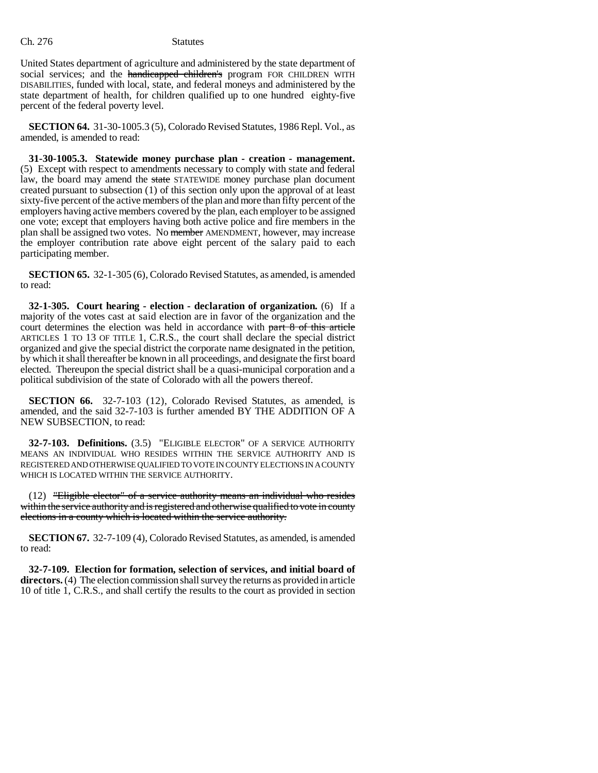United States department of agriculture and administered by the state department of social services; and the handicapped children's program FOR CHILDREN WITH DISABILITIES, funded with local, state, and federal moneys and administered by the state department of health, for children qualified up to one hundred eighty-five percent of the federal poverty level.

**SECTION 64.** 31-30-1005.3 (5), Colorado Revised Statutes, 1986 Repl. Vol., as amended, is amended to read:

**31-30-1005.3. Statewide money purchase plan - creation - management.** (5) Except with respect to amendments necessary to comply with state and federal law, the board may amend the state STATEWIDE money purchase plan document created pursuant to subsection (1) of this section only upon the approval of at least sixty-five percent of the active members of the plan and more than fifty percent of the employers having active members covered by the plan, each employer to be assigned one vote; except that employers having both active police and fire members in the plan shall be assigned two votes. No member AMENDMENT, however, may increase the employer contribution rate above eight percent of the salary paid to each participating member.

**SECTION 65.** 32-1-305 (6), Colorado Revised Statutes, as amended, is amended to read:

**32-1-305. Court hearing - election - declaration of organization.** (6) If a majority of the votes cast at said election are in favor of the organization and the court determines the election was held in accordance with part 8 of this article ARTICLES 1 TO 13 OF TITLE 1, C.R.S., the court shall declare the special district organized and give the special district the corporate name designated in the petition, by which it shall thereafter be known in all proceedings, and designate the first board elected. Thereupon the special district shall be a quasi-municipal corporation and a political subdivision of the state of Colorado with all the powers thereof.

**SECTION 66.** 32-7-103 (12), Colorado Revised Statutes, as amended, is amended, and the said 32-7-103 is further amended BY THE ADDITION OF A NEW SUBSECTION, to read:

**32-7-103. Definitions.** (3.5) "ELIGIBLE ELECTOR" OF A SERVICE AUTHORITY MEANS AN INDIVIDUAL WHO RESIDES WITHIN THE SERVICE AUTHORITY AND IS REGISTERED AND OTHERWISE QUALIFIED TO VOTE IN COUNTY ELECTIONS IN A COUNTY WHICH IS LOCATED WITHIN THE SERVICE AUTHORITY.

(12) "Eligible elector" of a service authority means an individual who resides within the service authority and is registered and otherwise qualified to vote in county elections in a county which is located within the service authority.

**SECTION 67.** 32-7-109 (4), Colorado Revised Statutes, as amended, is amended to read:

**32-7-109. Election for formation, selection of services, and initial board of directors.** (4) The election commission shall survey the returns as provided in article 10 of title 1, C.R.S., and shall certify the results to the court as provided in section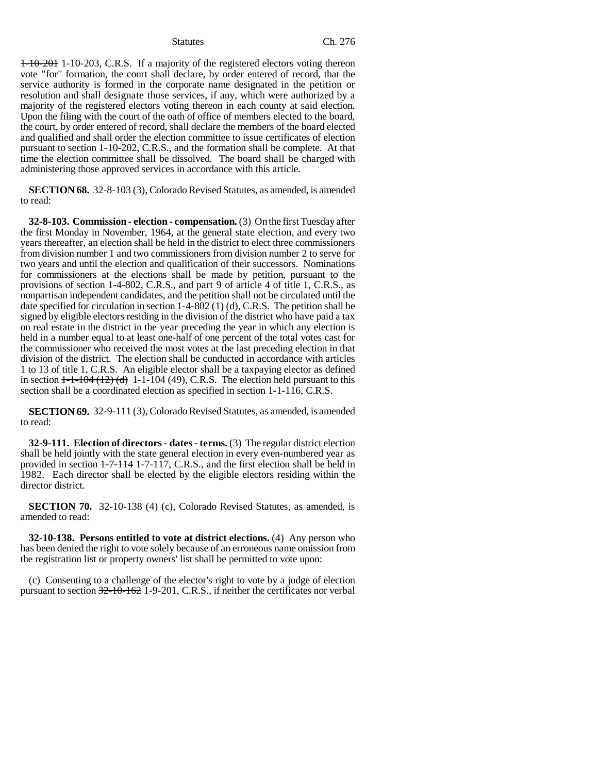1-10-201 1-10-203, C.R.S. If a majority of the registered electors voting thereon vote "for" formation, the court shall declare, by order entered of record, that the service authority is formed in the corporate name designated in the petition or resolution and shall designate those services, if any, which were authorized by a majority of the registered electors voting thereon in each county at said election. Upon the filing with the court of the oath of office of members elected to the board, the court, by order entered of record, shall declare the members of the board elected and qualified and shall order the election committee to issue certificates of election pursuant to section 1-10-202, C.R.S., and the formation shall be complete. At that time the election committee shall be dissolved. The board shall be charged with administering those approved services in accordance with this article.

**SECTION 68.** 32-8-103 (3), Colorado Revised Statutes, as amended, is amended to read:

**32-8-103. Commission - election - compensation.** (3) On the first Tuesday after the first Monday in November, 1964, at the general state election, and every two years thereafter, an election shall be held in the district to elect three commissioners from division number 1 and two commissioners from division number 2 to serve for two years and until the election and qualification of their successors. Nominations for commissioners at the elections shall be made by petition, pursuant to the provisions of section 1-4-802, C.R.S., and part 9 of article 4 of title 1, C.R.S., as nonpartisan independent candidates, and the petition shall not be circulated until the date specified for circulation in section  $1-4-802(1)(d)$ , C.R.S. The petition shall be signed by eligible electors residing in the division of the district who have paid a tax on real estate in the district in the year preceding the year in which any election is held in a number equal to at least one-half of one percent of the total votes cast for the commissioner who received the most votes at the last preceding election in that division of the district. The election shall be conducted in accordance with articles 1 to 13 of title 1, C.R.S. An eligible elector shall be a taxpaying elector as defined in section  $1-1-104$   $(12)$   $(d)$  1-1-104  $(49)$ , C.R.S. The election held pursuant to this section shall be a coordinated election as specified in section 1-1-116, C.R.S.

**SECTION 69.** 32-9-111 (3), Colorado Revised Statutes, as amended, is amended to read:

**32-9-111. Election of directors - dates - terms.** (3) The regular district election shall be held jointly with the state general election in every even-numbered year as provided in section 1-7-114 1-7-117, C.R.S., and the first election shall be held in 1982. Each director shall be elected by the eligible electors residing within the director district.

**SECTION 70.** 32-10-138 (4) (c), Colorado Revised Statutes, as amended, is amended to read:

**32-10-138. Persons entitled to vote at district elections.** (4) Any person who has been denied the right to vote solely because of an erroneous name omission from the registration list or property owners' list shall be permitted to vote upon:

(c) Consenting to a challenge of the elector's right to vote by a judge of election pursuant to section 32-10-162 1-9-201, C.R.S., if neither the certificates nor verbal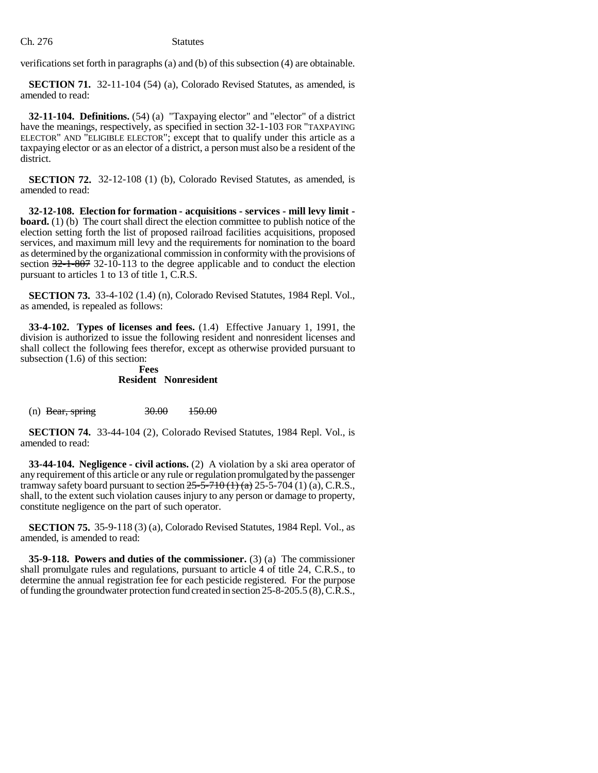Ch. 276 Statutes

verifications set forth in paragraphs (a) and (b) of this subsection (4) are obtainable.

**SECTION 71.** 32-11-104 (54) (a), Colorado Revised Statutes, as amended, is amended to read:

**32-11-104. Definitions.** (54) (a) "Taxpaying elector" and "elector" of a district have the meanings, respectively, as specified in section 32-1-103 FOR "TAXPAYING ELECTOR" AND "ELIGIBLE ELECTOR"; except that to qualify under this article as a taxpaying elector or as an elector of a district, a person must also be a resident of the district.

**SECTION 72.** 32-12-108 (1) (b), Colorado Revised Statutes, as amended, is amended to read:

**32-12-108. Election for formation - acquisitions - services - mill levy limit board.** (1) (b) The court shall direct the election committee to publish notice of the election setting forth the list of proposed railroad facilities acquisitions, proposed services, and maximum mill levy and the requirements for nomination to the board as determined by the organizational commission in conformity with the provisions of section  $32-1-807$  32-10-113 to the degree applicable and to conduct the election pursuant to articles 1 to 13 of title 1, C.R.S.

**SECTION 73.** 33-4-102 (1.4) (n), Colorado Revised Statutes, 1984 Repl. Vol., as amended, is repealed as follows:

**33-4-102. Types of licenses and fees.** (1.4) Effective January 1, 1991, the division is authorized to issue the following resident and nonresident licenses and shall collect the following fees therefor, except as otherwise provided pursuant to subsection (1.6) of this section:

# **Fees Resident Nonresident**

(n) Bear, spring  $30.00$   $150.00$ 

**SECTION 74.** 33-44-104 (2), Colorado Revised Statutes, 1984 Repl. Vol., is amended to read:

**33-44-104. Negligence - civil actions.** (2) A violation by a ski area operator of any requirement of this article or any rule or regulation promulgated by the passenger tramway safety board pursuant to section  $25 - 5 - 710$  (1) (a)  $25 - 5 - 704$  (1) (a), C.R.S., shall, to the extent such violation causes injury to any person or damage to property, constitute negligence on the part of such operator.

**SECTION 75.** 35-9-118 (3) (a), Colorado Revised Statutes, 1984 Repl. Vol., as amended, is amended to read:

**35-9-118. Powers and duties of the commissioner.** (3) (a) The commissioner shall promulgate rules and regulations, pursuant to article 4 of title 24, C.R.S., to determine the annual registration fee for each pesticide registered. For the purpose of funding the groundwater protection fund created in section 25-8-205.5 (8), C.R.S.,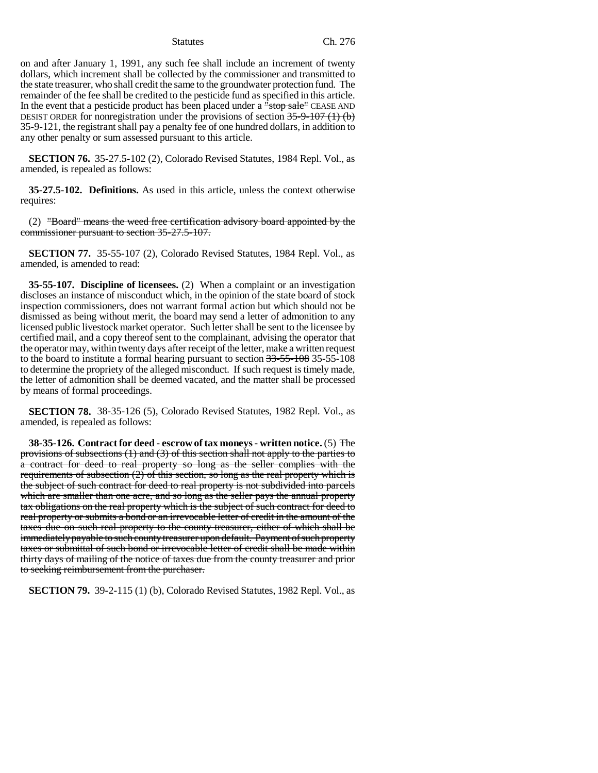on and after January 1, 1991, any such fee shall include an increment of twenty dollars, which increment shall be collected by the commissioner and transmitted to the state treasurer, who shall credit the same to the groundwater protection fund. The remainder of the fee shall be credited to the pesticide fund as specified in this article. In the event that a pesticide product has been placed under a "stop sale" CEASE AND DESIST ORDER for nonregistration under the provisions of section  $35-9-107$  (1) (b) 35-9-121, the registrant shall pay a penalty fee of one hundred dollars, in addition to any other penalty or sum assessed pursuant to this article.

**SECTION 76.** 35-27.5-102 (2), Colorado Revised Statutes, 1984 Repl. Vol., as amended, is repealed as follows:

**35-27.5-102. Definitions.** As used in this article, unless the context otherwise requires:

(2) "Board" means the weed free certification advisory board appointed by the commissioner pursuant to section 35-27.5-107.

**SECTION 77.** 35-55-107 (2), Colorado Revised Statutes, 1984 Repl. Vol., as amended, is amended to read:

**35-55-107. Discipline of licensees.** (2) When a complaint or an investigation discloses an instance of misconduct which, in the opinion of the state board of stock inspection commissioners, does not warrant formal action but which should not be dismissed as being without merit, the board may send a letter of admonition to any licensed public livestock market operator. Such letter shall be sent to the licensee by certified mail, and a copy thereof sent to the complainant, advising the operator that the operator may, within twenty days after receipt of the letter, make a written request to the board to institute a formal hearing pursuant to section 33-55-108 35-55-108 to determine the propriety of the alleged misconduct. If such request is timely made, the letter of admonition shall be deemed vacated, and the matter shall be processed by means of formal proceedings.

**SECTION 78.** 38-35-126 (5), Colorado Revised Statutes, 1982 Repl. Vol., as amended, is repealed as follows:

**38-35-126. Contract for deed - escrow of tax moneys - written notice.** (5) The provisions of subsections (1) and (3) of this section shall not apply to the parties to a contract for deed to real property so long as the seller complies with the requirements of subsection  $(2)$  of this section, so long as the real property which is the subject of such contract for deed to real property is not subdivided into parcels which are smaller than one acre, and so long as the seller pays the annual property tax obligations on the real property which is the subject of such contract for deed to real property or submits a bond or an irrevocable letter of credit in the amount of the taxes due on such real property to the county treasurer, either of which shall be immediately payable to such county treasurer upon default. Payment of such property taxes or submittal of such bond or irrevocable letter of credit shall be made within thirty days of mailing of the notice of taxes due from the county treasurer and prior to seeking reimbursement from the purchaser.

**SECTION 79.** 39-2-115 (1) (b), Colorado Revised Statutes, 1982 Repl. Vol., as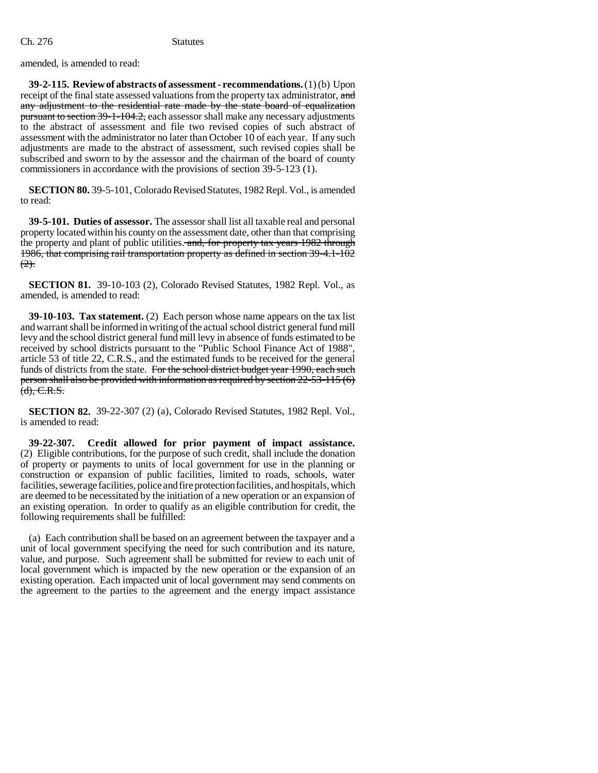amended, is amended to read:

**39-2-115. Review of abstracts of assessment - recommendations.** (1) (b) Upon receipt of the final state assessed valuations from the property tax administrator, and any adjustment to the residential rate made by the state board of equalization pursuant to section 39-1-104.2, each assessor shall make any necessary adjustments to the abstract of assessment and file two revised copies of such abstract of assessment with the administrator no later than October 10 of each year. If any such adjustments are made to the abstract of assessment, such revised copies shall be subscribed and sworn to by the assessor and the chairman of the board of county commissioners in accordance with the provisions of section 39-5-123 (1).

**SECTION 80.** 39-5-101, Colorado Revised Statutes, 1982 Repl. Vol., is amended to read:

**39-5-101. Duties of assessor.** The assessor shall list all taxable real and personal property located within his county on the assessment date, other than that comprising the property and plant of public utilities. and, for property tax years 1982 through 1986, that comprising rail transportation property as defined in section 39-4.1-102  $(2)$ .

**SECTION 81.** 39-10-103 (2), Colorado Revised Statutes, 1982 Repl. Vol., as amended, is amended to read:

**39-10-103. Tax statement.** (2) Each person whose name appears on the tax list and warrant shall be informed in writing of the actual school district general fund mill levy and the school district general fund mill levy in absence of funds estimated to be received by school districts pursuant to the "Public School Finance Act of 1988", article 53 of title 22, C.R.S., and the estimated funds to be received for the general funds of districts from the state. For the school district budget year 1990, each such person shall also be provided with information as required by section 22-53-115 (6)  $(d), C.R.S.$ 

**SECTION 82.** 39-22-307 (2) (a), Colorado Revised Statutes, 1982 Repl. Vol., is amended to read:

**39-22-307. Credit allowed for prior payment of impact assistance.** (2) Eligible contributions, for the purpose of such credit, shall include the donation of property or payments to units of local government for use in the planning or construction or expansion of public facilities, limited to roads, schools, water facilities, sewerage facilities, police and fire protection facilities, and hospitals, which are deemed to be necessitated by the initiation of a new operation or an expansion of an existing operation. In order to qualify as an eligible contribution for credit, the following requirements shall be fulfilled:

(a) Each contribution shall be based on an agreement between the taxpayer and a unit of local government specifying the need for such contribution and its nature, value, and purpose. Such agreement shall be submitted for review to each unit of local government which is impacted by the new operation or the expansion of an existing operation. Each impacted unit of local government may send comments on the agreement to the parties to the agreement and the energy impact assistance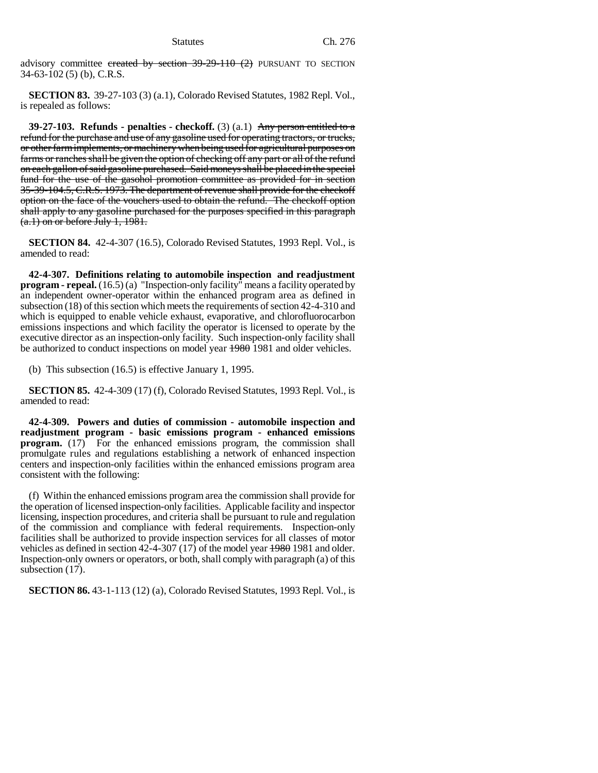advisory committee created by section  $39-29-110$  (2) PURSUANT TO SECTION 34-63-102 (5) (b), C.R.S.

**SECTION 83.** 39-27-103 (3) (a.1), Colorado Revised Statutes, 1982 Repl. Vol., is repealed as follows:

**39-27-103.** Refunds - penalties - checkoff.  $(3)(a.1)$  Any person entitled to a refund for the purchase and use of any gasoline used for operating tractors, or trucks, or other farm implements, or machinery when being used for agricultural purposes on farms or ranches shall be given the option of checking off any part or all of the refund on each gallon of said gasoline purchased. Said moneys shall be placed in the special fund for the use of the gasohol promotion committee as provided for in section 35-39-104.5, C.R.S. 1973. The department of revenue shall provide for the checkoff option on the face of the vouchers used to obtain the refund. The checkoff option shall apply to any gasoline purchased for the purposes specified in this paragraph  $(a.1)$  on or before July 1, 1981.

**SECTION 84.** 42-4-307 (16.5), Colorado Revised Statutes, 1993 Repl. Vol., is amended to read:

**42-4-307. Definitions relating to automobile inspection and readjustment program - repeal.** (16.5) (a) "Inspection-only facility" means a facility operated by an independent owner-operator within the enhanced program area as defined in subsection (18) of this section which meets the requirements of section 42-4-310 and which is equipped to enable vehicle exhaust, evaporative, and chlorofluorocarbon emissions inspections and which facility the operator is licensed to operate by the executive director as an inspection-only facility. Such inspection-only facility shall be authorized to conduct inspections on model year  $1980$  1981 and older vehicles.

(b) This subsection (16.5) is effective January 1, 1995.

**SECTION 85.** 42-4-309 (17) (f), Colorado Revised Statutes, 1993 Repl. Vol., is amended to read:

**42-4-309. Powers and duties of commission - automobile inspection and readjustment program - basic emissions program - enhanced emissions program.** (17) For the enhanced emissions program, the commission shall promulgate rules and regulations establishing a network of enhanced inspection centers and inspection-only facilities within the enhanced emissions program area consistent with the following:

(f) Within the enhanced emissions program area the commission shall provide for the operation of licensed inspection-only facilities. Applicable facility and inspector licensing, inspection procedures, and criteria shall be pursuant to rule and regulation of the commission and compliance with federal requirements. Inspection-only facilities shall be authorized to provide inspection services for all classes of motor vehicles as defined in section 42-4-307 (17) of the model year 1980 1981 and older. Inspection-only owners or operators, or both, shall comply with paragraph (a) of this subsection  $(17)$ .

**SECTION 86.** 43-1-113 (12) (a), Colorado Revised Statutes, 1993 Repl. Vol., is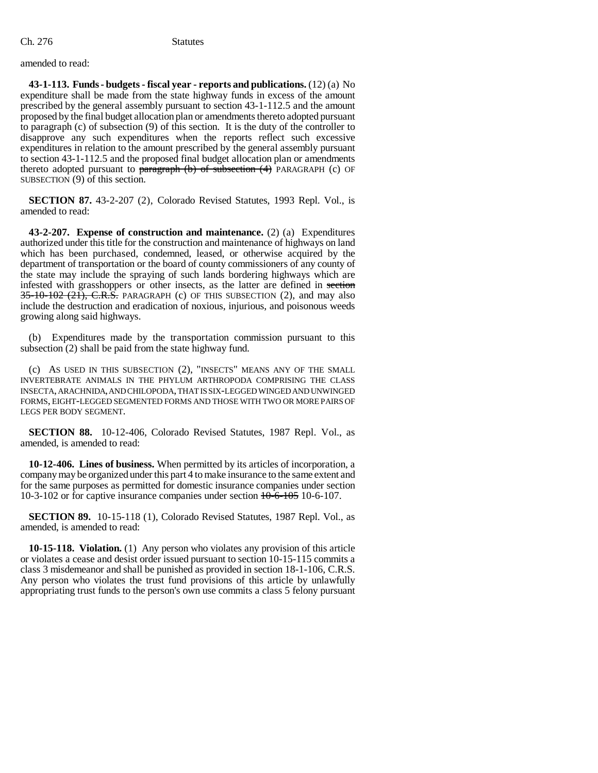amended to read:

**43-1-113. Funds - budgets - fiscal year - reports and publications.** (12) (a) No expenditure shall be made from the state highway funds in excess of the amount prescribed by the general assembly pursuant to section 43-1-112.5 and the amount proposed by the final budget allocation plan or amendments thereto adopted pursuant to paragraph (c) of subsection (9) of this section. It is the duty of the controller to disapprove any such expenditures when the reports reflect such excessive expenditures in relation to the amount prescribed by the general assembly pursuant to section 43-1-112.5 and the proposed final budget allocation plan or amendments thereto adopted pursuant to paragraph  $(b)$  of subsection  $(4)$  PARAGRAPH (c) OF SUBSECTION (9) of this section.

**SECTION 87.** 43-2-207 (2), Colorado Revised Statutes, 1993 Repl. Vol., is amended to read:

**43-2-207. Expense of construction and maintenance.** (2) (a) Expenditures authorized under this title for the construction and maintenance of highways on land which has been purchased, condemned, leased, or otherwise acquired by the department of transportation or the board of county commissioners of any county of the state may include the spraying of such lands bordering highways which are infested with grasshoppers or other insects, as the latter are defined in section  $35-10-102$  (21), C.R.S. PARAGRAPH (c) OF THIS SUBSECTION (2), and may also include the destruction and eradication of noxious, injurious, and poisonous weeds growing along said highways.

(b) Expenditures made by the transportation commission pursuant to this subsection (2) shall be paid from the state highway fund.

(c) AS USED IN THIS SUBSECTION (2), "INSECTS" MEANS ANY OF THE SMALL INVERTEBRATE ANIMALS IN THE PHYLUM ARTHROPODA COMPRISING THE CLASS INSECTA, ARACHNIDA, AND CHILOPODA, THAT IS SIX-LEGGED WINGED AND UNWINGED FORMS, EIGHT-LEGGED SEGMENTED FORMS AND THOSE WITH TWO OR MORE PAIRS OF LEGS PER BODY SEGMENT.

**SECTION 88.** 10-12-406, Colorado Revised Statutes, 1987 Repl. Vol., as amended, is amended to read:

**10-12-406. Lines of business.** When permitted by its articles of incorporation, a company may be organized under this part 4 to make insurance to the same extent and for the same purposes as permitted for domestic insurance companies under section 10-3-102 or for captive insurance companies under section 10-6-105 10-6-107.

**SECTION 89.** 10-15-118 (1), Colorado Revised Statutes, 1987 Repl. Vol., as amended, is amended to read:

**10-15-118. Violation.** (1) Any person who violates any provision of this article or violates a cease and desist order issued pursuant to section 10-15-115 commits a class 3 misdemeanor and shall be punished as provided in section 18-1-106, C.R.S. Any person who violates the trust fund provisions of this article by unlawfully appropriating trust funds to the person's own use commits a class 5 felony pursuant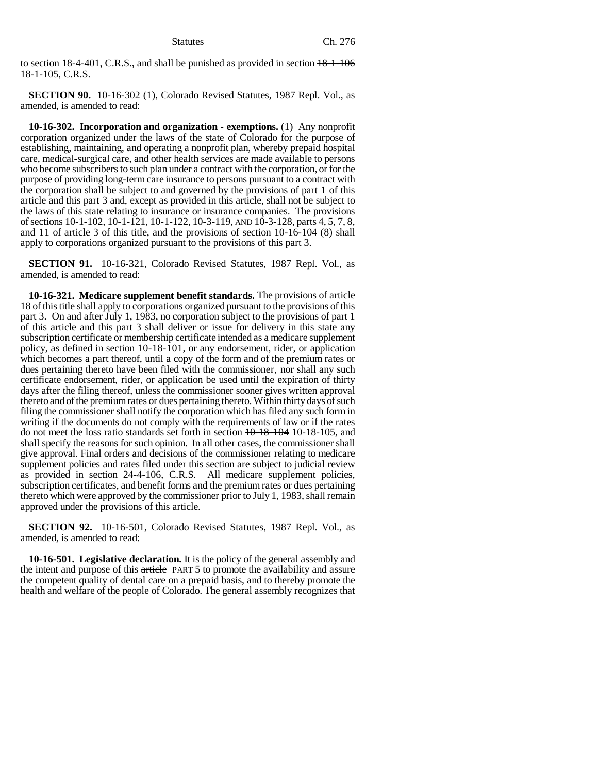to section 18-4-401, C.R.S., and shall be punished as provided in section  $18$ -1-106 18-1-105, C.R.S.

**SECTION 90.** 10-16-302 (1), Colorado Revised Statutes, 1987 Repl. Vol., as amended, is amended to read:

**10-16-302. Incorporation and organization - exemptions.** (1) Any nonprofit corporation organized under the laws of the state of Colorado for the purpose of establishing, maintaining, and operating a nonprofit plan, whereby prepaid hospital care, medical-surgical care, and other health services are made available to persons who become subscribers to such plan under a contract with the corporation, or for the purpose of providing long-term care insurance to persons pursuant to a contract with the corporation shall be subject to and governed by the provisions of part 1 of this article and this part 3 and, except as provided in this article, shall not be subject to the laws of this state relating to insurance or insurance companies. The provisions of sections 10-1-102, 10-1-121, 10-1-122, 10-3-119, AND 10-3-128, parts 4, 5, 7, 8, and 11 of article 3 of this title, and the provisions of section 10-16-104 (8) shall apply to corporations organized pursuant to the provisions of this part 3.

**SECTION 91.** 10-16-321, Colorado Revised Statutes, 1987 Repl. Vol., as amended, is amended to read:

**10-16-321. Medicare supplement benefit standards.** The provisions of article 18 of this title shall apply to corporations organized pursuant to the provisions of this part 3. On and after July 1, 1983, no corporation subject to the provisions of part 1 of this article and this part 3 shall deliver or issue for delivery in this state any subscription certificate or membership certificate intended as a medicare supplement policy, as defined in section 10-18-101, or any endorsement, rider, or application which becomes a part thereof, until a copy of the form and of the premium rates or dues pertaining thereto have been filed with the commissioner, nor shall any such certificate endorsement, rider, or application be used until the expiration of thirty days after the filing thereof, unless the commissioner sooner gives written approval thereto and of the premium rates or dues pertaining thereto. Within thirty days of such filing the commissioner shall notify the corporation which has filed any such form in writing if the documents do not comply with the requirements of law or if the rates do not meet the loss ratio standards set forth in section 10-18-104 10-18-105, and shall specify the reasons for such opinion. In all other cases, the commissioner shall give approval. Final orders and decisions of the commissioner relating to medicare supplement policies and rates filed under this section are subject to judicial review as provided in section 24-4-106, C.R.S. All medicare supplement policies, subscription certificates, and benefit forms and the premium rates or dues pertaining thereto which were approved by the commissioner prior to July 1, 1983, shall remain approved under the provisions of this article.

**SECTION 92.** 10-16-501, Colorado Revised Statutes, 1987 Repl. Vol., as amended, is amended to read:

**10-16-501. Legislative declaration.** It is the policy of the general assembly and the intent and purpose of this article PART 5 to promote the availability and assure the competent quality of dental care on a prepaid basis, and to thereby promote the health and welfare of the people of Colorado. The general assembly recognizes that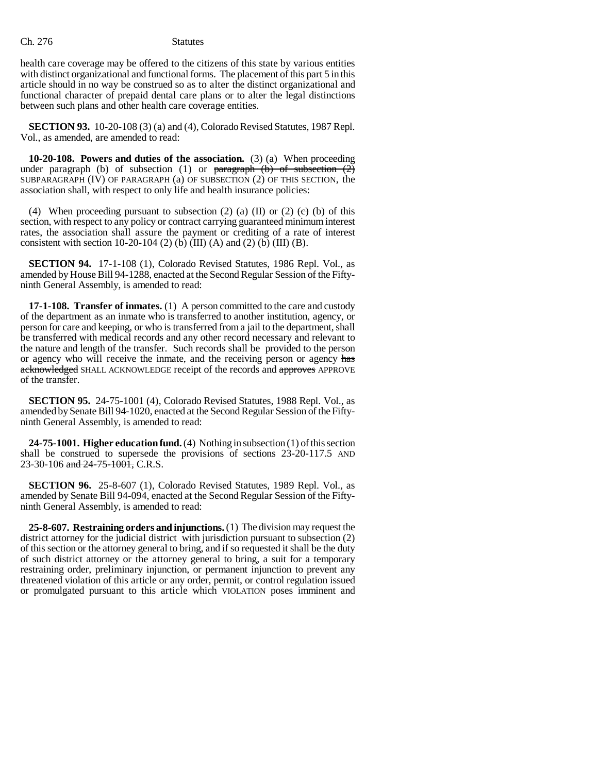health care coverage may be offered to the citizens of this state by various entities with distinct organizational and functional forms. The placement of this part 5 in this article should in no way be construed so as to alter the distinct organizational and functional character of prepaid dental care plans or to alter the legal distinctions between such plans and other health care coverage entities.

**SECTION 93.** 10-20-108 (3) (a) and (4), Colorado Revised Statutes, 1987 Repl. Vol., as amended, are amended to read:

**10-20-108. Powers and duties of the association.** (3) (a) When proceeding under paragraph (b) of subsection (1) or  $\frac{1}{2}$  paragraph (b) of subsection (2) SUBPARAGRAPH (IV) OF PARAGRAPH (a) OF SUBSECTION (2) OF THIS SECTION, the association shall, with respect to only life and health insurance policies:

(4) When proceeding pursuant to subsection (2) (a) (II) or (2)  $\leftrightarrow$  (b) of this section, with respect to any policy or contract carrying guaranteed minimum interest rates, the association shall assure the payment or crediting of a rate of interest consistent with section 10-20-104 (2) (b) (III) (A) and (2) (b) (III) (B).

**SECTION 94.** 17-1-108 (1), Colorado Revised Statutes, 1986 Repl. Vol., as amended by House Bill 94-1288, enacted at the Second Regular Session of the Fiftyninth General Assembly, is amended to read:

**17-1-108. Transfer of inmates.** (1) A person committed to the care and custody of the department as an inmate who is transferred to another institution, agency, or person for care and keeping, or who is transferred from a jail to the department, shall be transferred with medical records and any other record necessary and relevant to the nature and length of the transfer. Such records shall be provided to the person or agency who will receive the inmate, and the receiving person or agency has acknowledged SHALL ACKNOWLEDGE receipt of the records and approves APPROVE of the transfer.

**SECTION 95.** 24-75-1001 (4), Colorado Revised Statutes, 1988 Repl. Vol., as amended by Senate Bill 94-1020, enacted at the Second Regular Session of the Fiftyninth General Assembly, is amended to read:

**24-75-1001. Higher education fund.** (4) Nothing in subsection (1) of this section shall be construed to supersede the provisions of sections 23-20-117.5 AND 23-30-106 and  $24-75-1001$ , C.R.S.

**SECTION 96.** 25-8-607 (1), Colorado Revised Statutes, 1989 Repl. Vol., as amended by Senate Bill 94-094, enacted at the Second Regular Session of the Fiftyninth General Assembly, is amended to read:

**25-8-607. Restraining orders and injunctions.** (1) The division may request the district attorney for the judicial district with jurisdiction pursuant to subsection (2) of this section or the attorney general to bring, and if so requested it shall be the duty of such district attorney or the attorney general to bring, a suit for a temporary restraining order, preliminary injunction, or permanent injunction to prevent any threatened violation of this article or any order, permit, or control regulation issued or promulgated pursuant to this article which VIOLATION poses imminent and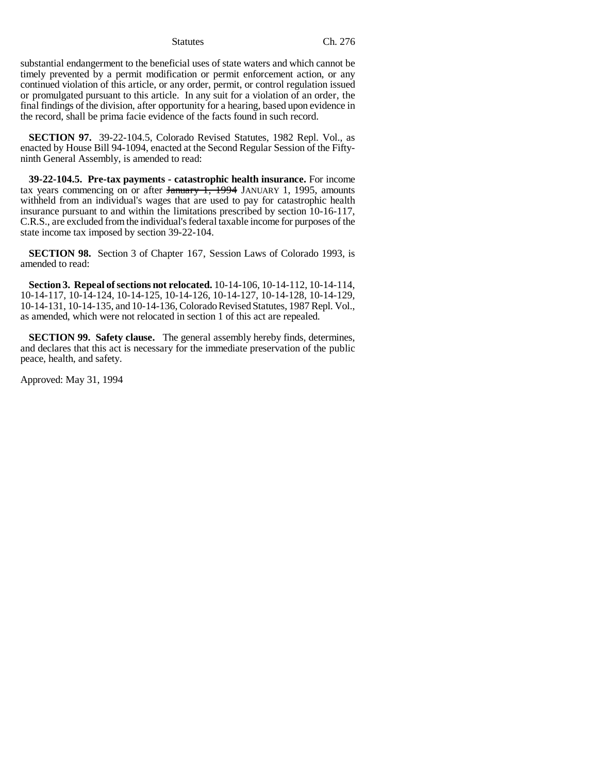substantial endangerment to the beneficial uses of state waters and which cannot be timely prevented by a permit modification or permit enforcement action, or any continued violation of this article, or any order, permit, or control regulation issued or promulgated pursuant to this article. In any suit for a violation of an order, the final findings of the division, after opportunity for a hearing, based upon evidence in the record, shall be prima facie evidence of the facts found in such record.

**SECTION 97.** 39-22-104.5, Colorado Revised Statutes, 1982 Repl. Vol., as enacted by House Bill 94-1094, enacted at the Second Regular Session of the Fiftyninth General Assembly, is amended to read:

**39-22-104.5. Pre-tax payments - catastrophic health insurance.** For income tax years commencing on or after  $\frac{1}{2}$   $\frac{1994}{1}$  JANUARY 1, 1995, amounts withheld from an individual's wages that are used to pay for catastrophic health insurance pursuant to and within the limitations prescribed by section 10-16-117, C.R.S., are excluded from the individual's federal taxable income for purposes of the state income tax imposed by section 39-22-104.

**SECTION 98.** Section 3 of Chapter 167, Session Laws of Colorado 1993, is amended to read:

**Section 3. Repeal of sections not relocated.** 10-14-106, 10-14-112, 10-14-114, 10-14-117, 10-14-124, 10-14-125, 10-14-126, 10-14-127, 10-14-128, 10-14-129, 10-14-131, 10-14-135, and 10-14-136, Colorado Revised Statutes, 1987 Repl. Vol., as amended, which were not relocated in section 1 of this act are repealed.

**SECTION 99. Safety clause.** The general assembly hereby finds, determines, and declares that this act is necessary for the immediate preservation of the public peace, health, and safety.

Approved: May 31, 1994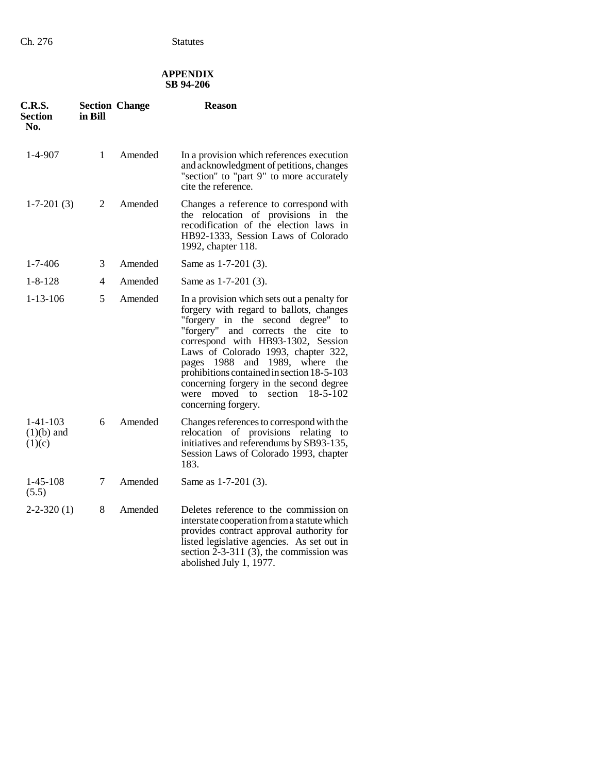# **APPENDIX SB 94-206**

| C.R.S.<br>Section<br>No.             | in Bill        | <b>Section Change</b> | <b>Reason</b>                                                                                                                                                                                                                                                                                                                                                                                                                                                    |
|--------------------------------------|----------------|-----------------------|------------------------------------------------------------------------------------------------------------------------------------------------------------------------------------------------------------------------------------------------------------------------------------------------------------------------------------------------------------------------------------------------------------------------------------------------------------------|
| $1-4-907$                            | $\mathbf{1}$   | Amended               | In a provision which references execution<br>and acknowledgment of petitions, changes<br>"section" to "part 9" to more accurately<br>cite the reference.                                                                                                                                                                                                                                                                                                         |
| $1-7-201(3)$                         | $\overline{2}$ | Amended               | Changes a reference to correspond with<br>relocation of provisions in the<br>the<br>recodification of the election laws in<br>HB92-1333, Session Laws of Colorado<br>1992, chapter 118.                                                                                                                                                                                                                                                                          |
| $1 - 7 - 406$                        | 3              | Amended               | Same as 1-7-201 (3).                                                                                                                                                                                                                                                                                                                                                                                                                                             |
| $1 - 8 - 128$                        | 4              | Amended               | Same as 1-7-201 (3).                                                                                                                                                                                                                                                                                                                                                                                                                                             |
| $1 - 13 - 106$                       | 5              | Amended               | In a provision which sets out a penalty for<br>forgery with regard to ballots, changes<br>"forgery in the second degree" to<br>"forgery"<br>and corrects the cite<br>to<br>correspond with HB93-1302, Session<br>Laws of Colorado 1993, chapter 322,<br>1988<br>and 1989, where<br>the<br>pages<br>prohibitions contained in section 18-5-103<br>concerning forgery in the second degree<br>$18 - 5 - 102$<br>moved to<br>section<br>were<br>concerning forgery. |
| $1-41-103$<br>$(1)(b)$ and<br>(1)(c) | 6              | Amended               | Changes references to correspond with the<br>relocation of provisions relating to<br>initiatives and referendums by SB93-135,<br>Session Laws of Colorado 1993, chapter<br>183.                                                                                                                                                                                                                                                                                  |
| $1 - 45 - 108$<br>(5.5)              | 7              | Amended               | Same as 1-7-201 (3).                                                                                                                                                                                                                                                                                                                                                                                                                                             |
| $2 - 2 - 320(1)$                     | 8              | Amended               | Deletes reference to the commission on<br>interstate cooperation from a statute which<br>provides contract approval authority for<br>listed legislative agencies. As set out in<br>section $2-3-311$ (3), the commission was<br>abolished July 1, 1977.                                                                                                                                                                                                          |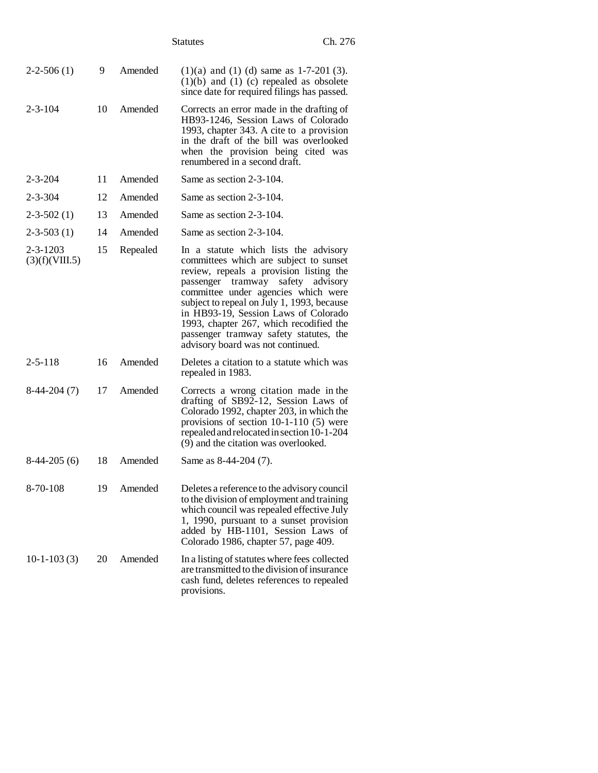|                                  |    |          | <b>Statutes</b>                                                                                                                                                                                                                                                                                                                                                                                                        | Ch. 276 |
|----------------------------------|----|----------|------------------------------------------------------------------------------------------------------------------------------------------------------------------------------------------------------------------------------------------------------------------------------------------------------------------------------------------------------------------------------------------------------------------------|---------|
| $2-2-506(1)$                     | 9  | Amended  | $(1)(a)$ and $(1)(d)$ same as 1-7-201 (3).<br>$(1)(b)$ and $(1)(c)$ repealed as obsolete<br>since date for required filings has passed.                                                                                                                                                                                                                                                                                |         |
| $2 - 3 - 104$                    | 10 | Amended  | Corrects an error made in the drafting of<br>HB93-1246, Session Laws of Colorado<br>1993, chapter 343. A cite to a provision<br>in the draft of the bill was overlooked<br>when the provision being cited was<br>renumbered in a second draft.                                                                                                                                                                         |         |
| 2-3-204                          | 11 | Amended  | Same as section 2-3-104.                                                                                                                                                                                                                                                                                                                                                                                               |         |
| $2 - 3 - 304$                    | 12 | Amended  | Same as section 2-3-104.                                                                                                                                                                                                                                                                                                                                                                                               |         |
| $2 - 3 - 502(1)$                 | 13 | Amended  | Same as section 2-3-104.                                                                                                                                                                                                                                                                                                                                                                                               |         |
| $2 - 3 - 503(1)$                 | 14 | Amended  | Same as section 2-3-104.                                                                                                                                                                                                                                                                                                                                                                                               |         |
| $2 - 3 - 1203$<br>(3)(f)(VIII.5) | 15 | Repealed | In a statute which lists the advisory<br>committees which are subject to sunset<br>review, repeals a provision listing the<br>passenger tramway safety advisory<br>committee under agencies which were<br>subject to repeal on July 1, 1993, because<br>in HB93-19, Session Laws of Colorado<br>1993, chapter 267, which recodified the<br>passenger tramway safety statutes, the<br>advisory board was not continued. |         |
| $2 - 5 - 118$                    | 16 | Amended  | Deletes a citation to a statute which was<br>repealed in 1983.                                                                                                                                                                                                                                                                                                                                                         |         |
| $8-44-204(7)$                    | 17 | Amended  | Corrects a wrong citation made in the<br>drafting of SB92-12, Session Laws of<br>Colorado 1992, chapter 203, in which the<br>provisions of section $10-1-110$ (5) were<br>repealed and relocated in section 10-1-204<br>(9) and the citation was overlooked.                                                                                                                                                           |         |
| $8-44-205(6)$                    | 18 | Amended  | Same as 8-44-204 (7).                                                                                                                                                                                                                                                                                                                                                                                                  |         |
| 8-70-108                         | 19 | Amended  | Deletes a reference to the advisory council<br>to the division of employment and training<br>which council was repealed effective July<br>1, 1990, pursuant to a sunset provision<br>added by HB-1101, Session Laws of<br>Colorado 1986, chapter 57, page 409.                                                                                                                                                         |         |
| $10-1-103(3)$                    | 20 | Amended  | In a listing of statutes where fees collected<br>are transmitted to the division of insurance<br>cash fund, deletes references to repealed<br>provisions.                                                                                                                                                                                                                                                              |         |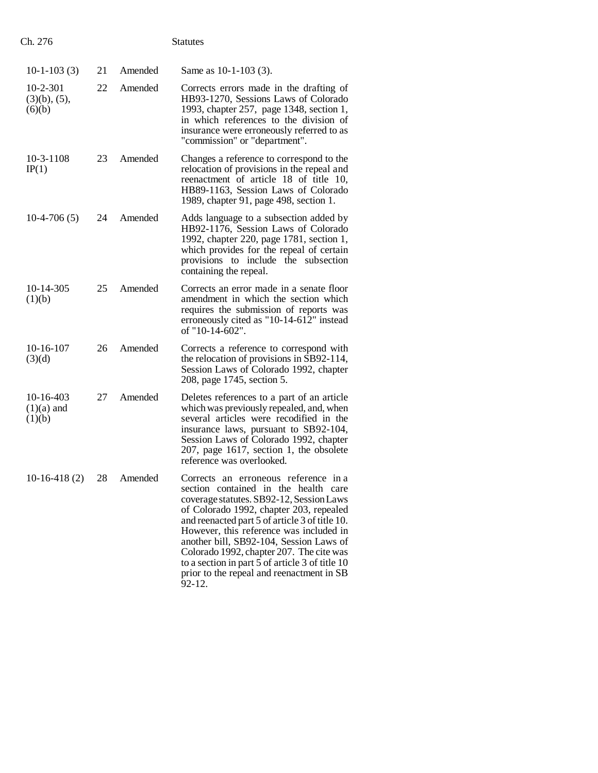| $10-1-103(3)$                                  | 21 | Amended | Same as 10-1-103 (3).                                                                                                                                                                                                                                                                                                                                                                                                                                             |
|------------------------------------------------|----|---------|-------------------------------------------------------------------------------------------------------------------------------------------------------------------------------------------------------------------------------------------------------------------------------------------------------------------------------------------------------------------------------------------------------------------------------------------------------------------|
| $10 - 2 - 301$<br>$(3)(b)$ , $(5)$ ,<br>(6)(b) | 22 | Amended | Corrects errors made in the drafting of<br>HB93-1270, Sessions Laws of Colorado<br>1993, chapter 257, page 1348, section 1,<br>in which references to the division of<br>insurance were erroneously referred to as<br>"commission" or "department".                                                                                                                                                                                                               |
| $10-3-1108$<br>IP(1)                           | 23 | Amended | Changes a reference to correspond to the<br>relocation of provisions in the repeal and<br>reenactment of article 18 of title 10,<br>HB89-1163, Session Laws of Colorado<br>1989, chapter 91, page 498, section 1.                                                                                                                                                                                                                                                 |
| $10-4-706(5)$                                  | 24 | Amended | Adds language to a subsection added by<br>HB92-1176, Session Laws of Colorado<br>1992, chapter 220, page 1781, section 1,<br>which provides for the repeal of certain<br>provisions to include the subsection<br>containing the repeal.                                                                                                                                                                                                                           |
| 10-14-305<br>(1)(b)                            | 25 | Amended | Corrects an error made in a senate floor<br>amendment in which the section which<br>requires the submission of reports was<br>erroneously cited as "10-14-612" instead<br>of "10-14-602".                                                                                                                                                                                                                                                                         |
| $10-16-107$<br>(3)(d)                          | 26 | Amended | Corrects a reference to correspond with<br>the relocation of provisions in SB92-114,<br>Session Laws of Colorado 1992, chapter<br>208, page 1745, section 5.                                                                                                                                                                                                                                                                                                      |
| 10-16-403<br>$(1)(a)$ and<br>(1)(b)            | 27 | Amended | Deletes references to a part of an article<br>which was previously repealed, and, when<br>several articles were recodified in the<br>insurance laws, pursuant to SB92-104,<br>Session Laws of Colorado 1992, chapter<br>$207$ , page 1617, section 1, the obsolete<br>reference was overlooked.                                                                                                                                                                   |
| $10-16-418(2)$                                 | 28 | Amended | Corrects an erroneous reference in a<br>section contained in the health care<br>coverage statutes. SB92-12, Session Laws<br>of Colorado 1992, chapter 203, repealed<br>and reenacted part 5 of article 3 of title 10.<br>However, this reference was included in<br>another bill, SB92-104, Session Laws of<br>Colorado 1992, chapter 207. The cite was<br>to a section in part 5 of article 3 of title 10<br>prior to the repeal and reenactment in SB<br>92-12. |

Ch. 276 Statutes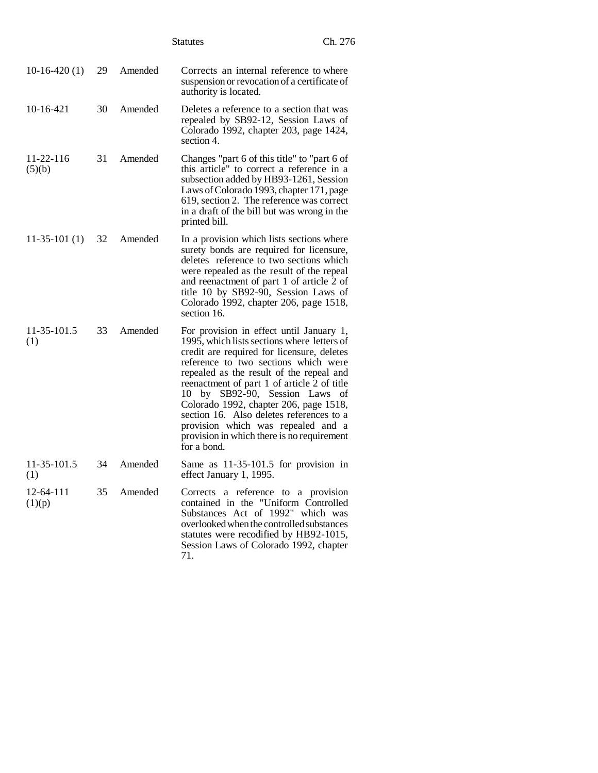|                           |    |         | <b>Statutes</b>                                                                                                                                                                                                                                                                                                                                                                                                                                                                                     | Ch. 276 |
|---------------------------|----|---------|-----------------------------------------------------------------------------------------------------------------------------------------------------------------------------------------------------------------------------------------------------------------------------------------------------------------------------------------------------------------------------------------------------------------------------------------------------------------------------------------------------|---------|
| $10-16-420(1)$            | 29 | Amended | Corrects an internal reference to where<br>suspension or revocation of a certificate of<br>authority is located.                                                                                                                                                                                                                                                                                                                                                                                    |         |
| $10-16-421$               | 30 | Amended | Deletes a reference to a section that was<br>repealed by SB92-12, Session Laws of<br>Colorado 1992, chapter 203, page 1424,<br>section 4.                                                                                                                                                                                                                                                                                                                                                           |         |
| $11 - 22 - 116$<br>(5)(b) | 31 | Amended | Changes "part 6 of this title" to "part 6 of<br>this article" to correct a reference in a<br>subsection added by HB93-1261, Session<br>Laws of Colorado 1993, chapter 171, page<br>619, section 2. The reference was correct<br>in a draft of the bill but was wrong in the<br>printed bill.                                                                                                                                                                                                        |         |
| $11-35-101(1)$            | 32 | Amended | In a provision which lists sections where<br>surety bonds are required for licensure,<br>deletes reference to two sections which<br>were repealed as the result of the repeal<br>and reenactment of part 1 of article 2 of<br>title 10 by SB92-90, Session Laws of<br>Colorado 1992, chapter 206, page 1518,<br>section 16.                                                                                                                                                                         |         |
| 11-35-101.5<br>(1)        | 33 | Amended | For provision in effect until January 1,<br>1995, which lists sections where letters of<br>credit are required for licensure, deletes<br>reference to two sections which were<br>repealed as the result of the repeal and<br>reenactment of part 1 of article 2 of title<br>10 by SB92-90, Session Laws of<br>Colorado 1992, chapter 206, page 1518,<br>section 16. Also deletes references to a<br>provision which was repealed and a<br>provision in which there is no requirement<br>for a bond. |         |
| 11-35-101.5<br>(1)        | 34 | Amended | Same as $11-35-101.5$ for provision in<br>effect January 1, 1995.                                                                                                                                                                                                                                                                                                                                                                                                                                   |         |
| 12-64-111<br>(1)(p)       | 35 | Amended | Corrects a reference to a provision<br>contained in the "Uniform Controlled<br>Substances Act of 1992" which was<br>overlooked when the controlled substances<br>statutes were recodified by HB92-1015,<br>Session Laws of Colorado 1992, chapter<br>71.                                                                                                                                                                                                                                            |         |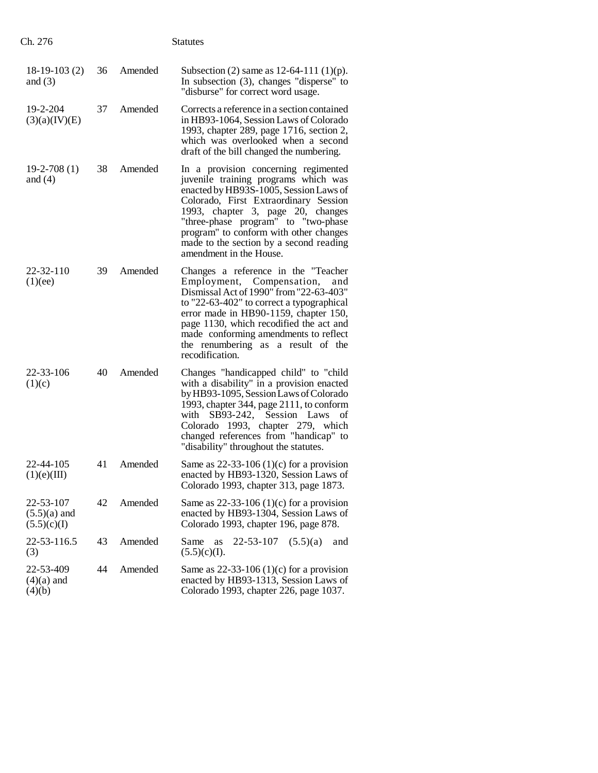| Ch. 276                                    |    |         | <b>Statutes</b>                                                                                                                                                                                                                                                                                                                                             |
|--------------------------------------------|----|---------|-------------------------------------------------------------------------------------------------------------------------------------------------------------------------------------------------------------------------------------------------------------------------------------------------------------------------------------------------------------|
| $18-19-103(2)$<br>and $(3)$                | 36 | Amended | Subsection (2) same as $12-64-111$ (1)(p).<br>In subsection $(3)$ , changes "disperse" to<br>"disburse" for correct word usage.                                                                                                                                                                                                                             |
| 19-2-204<br>(3)(a)(IV)(E)                  | 37 | Amended | Corrects a reference in a section contained<br>in HB93-1064, Session Laws of Colorado<br>1993, chapter 289, page 1716, section 2,<br>which was overlooked when a second<br>draft of the bill changed the numbering.                                                                                                                                         |
| $19-2-708(1)$<br>and $(4)$                 | 38 | Amended | In a provision concerning regimented<br>juvenile training programs which was<br>enacted by HB93S-1005, Session Laws of<br>Colorado, First Extraordinary Session<br>1993, chapter 3, page 20, changes<br>"three-phase program" to "two-phase<br>program" to conform with other changes<br>made to the section by a second reading<br>amendment in the House. |
| 22-32-110<br>(1)(ee)                       | 39 | Amended | Changes a reference in the "Teacher<br>Employment, Compensation,<br>and<br>Dismissal Act of 1990" from "22-63-403"<br>to "22-63-402" to correct a typographical<br>error made in HB90-1159, chapter 150,<br>page 1130, which recodified the act and<br>made conforming amendments to reflect<br>the renumbering as a result of the<br>recodification.       |
| 22-33-106<br>(1)(c)                        | 40 | Amended | Changes "handicapped child" to "child"<br>with a disability" in a provision enacted<br>by HB93-1095, Session Laws of Colorado<br>1993, chapter 344, page 2111, to conform<br>with SB93-242, Session Laws<br>οf<br>Colorado 1993, chapter 279, which<br>changed references from "handicap" to<br>"disability" throughout the statutes.                       |
| 22-44-105<br>(1)(e)(III)                   | 41 | Amended | Same as $22-33-106(1)(c)$ for a provision<br>enacted by HB93-1320, Session Laws of<br>Colorado 1993, chapter 313, page 1873.                                                                                                                                                                                                                                |
| 22-53-107<br>$(5.5)(a)$ and<br>(5.5)(c)(I) | 42 | Amended | Same as $22-33-106$ (1)(c) for a provision<br>enacted by HB93-1304, Session Laws of<br>Colorado 1993, chapter 196, page 878.                                                                                                                                                                                                                                |
| 22-53-116.5<br>(3)                         | 43 | Amended | 22-53-107<br>Same<br>as<br>(5.5)(a)<br>and<br>(5.5)(c)(I).                                                                                                                                                                                                                                                                                                  |
| 22-53-409<br>$(4)(a)$ and<br>(4)(b)        | 44 | Amended | Same as $22-33-106(1)(c)$ for a provision<br>enacted by HB93-1313, Session Laws of<br>Colorado 1993, chapter 226, page 1037.                                                                                                                                                                                                                                |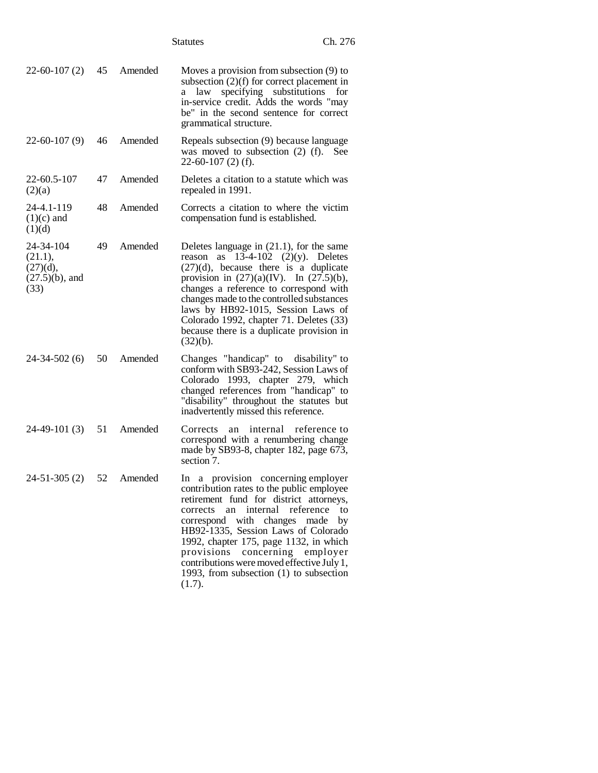|                                                               |    |         | <b>Statutes</b>                                                                                                                                                                                                                                                                                                                                                                                                      | Ch. 276                       |
|---------------------------------------------------------------|----|---------|----------------------------------------------------------------------------------------------------------------------------------------------------------------------------------------------------------------------------------------------------------------------------------------------------------------------------------------------------------------------------------------------------------------------|-------------------------------|
| $22 - 60 - 107(2)$                                            | 45 | Amended | Moves a provision from subsection (9) to<br>subsection $(2)(f)$ for correct placement in<br>law specifying substitutions<br>a<br>in-service credit. Adds the words "may<br>be" in the second sentence for correct<br>grammatical structure.                                                                                                                                                                          | for                           |
| $22-60-107(9)$                                                | 46 | Amended | Repeals subsection (9) because language<br>was moved to subsection $(2)$ (f). See<br>$22-60-107(2)$ (f).                                                                                                                                                                                                                                                                                                             |                               |
| 22-60.5-107<br>(2)(a)                                         | 47 | Amended | Deletes a citation to a statute which was<br>repealed in 1991.                                                                                                                                                                                                                                                                                                                                                       |                               |
| 24-4.1-119<br>$(1)(c)$ and<br>(1)(d)                          | 48 | Amended | Corrects a citation to where the victim<br>compensation fund is established.                                                                                                                                                                                                                                                                                                                                         |                               |
| 24-34-104<br>(21.1),<br>(27)(d),<br>$(27.5)(b)$ , and<br>(33) | 49 | Amended | Deletes language in $(21.1)$ , for the same<br>reason as $13-4-102$ (2)(y). Deletes<br>$(27)(d)$ , because there is a duplicate<br>provision in $(27)(a)(IV)$ . In $(27.5)(b)$ ,<br>changes a reference to correspond with<br>changes made to the controlled substances<br>laws by HB92-1015, Session Laws of<br>Colorado 1992, chapter 71. Deletes (33)<br>because there is a duplicate provision in<br>$(32)(b)$ . |                               |
| $24 - 34 - 502(6)$                                            | 50 | Amended | Changes "handicap" to disability" to<br>conform with SB93-242, Session Laws of<br>Colorado 1993, chapter 279, which<br>changed references from "handicap" to<br>"disability" throughout the statutes but<br>inadvertently missed this reference.                                                                                                                                                                     |                               |
| 24-49-101 (3)                                                 | 51 | Amended | an internal reference to<br>Corrects<br>correspond with a renumbering change<br>made by SB93-8, chapter 182, page 673,<br>section 7.                                                                                                                                                                                                                                                                                 |                               |
| $24-51-305(2)$                                                | 52 | Amended | In a provision concerning employer<br>contribution rates to the public employee<br>retirement fund for district attorneys,<br>internal<br>corrects<br>an<br>with changes<br>correspond<br>HB92-1335, Session Laws of Colorado<br>1992, chapter 175, page 1132, in which<br>provisions concerning employer<br>contributions were moved effective July 1,<br>1993, from subsection (1) to subsection<br>(1.7).         | reference<br>to<br>made<br>by |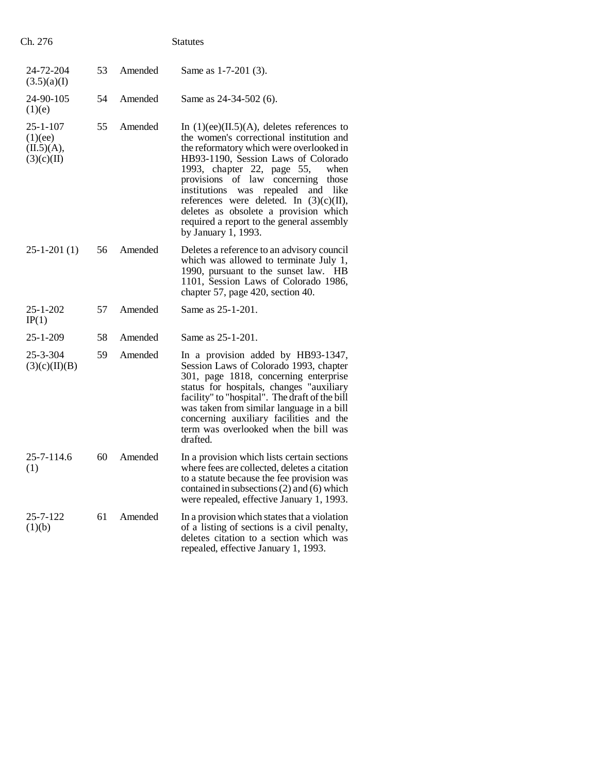| Ch. 276                                               |    |         | <b>Statutes</b>                                                                                                                                                                                                                                                                                                                                                                                                                                                          |
|-------------------------------------------------------|----|---------|--------------------------------------------------------------------------------------------------------------------------------------------------------------------------------------------------------------------------------------------------------------------------------------------------------------------------------------------------------------------------------------------------------------------------------------------------------------------------|
| 24-72-204<br>(3.5)(a)(I)                              | 53 | Amended | Same as 1-7-201 (3).                                                                                                                                                                                                                                                                                                                                                                                                                                                     |
| 24-90-105<br>(1)(e)                                   | 54 | Amended | Same as $24-34-502$ (6).                                                                                                                                                                                                                                                                                                                                                                                                                                                 |
| $25 - 1 - 107$<br>(1)(ee)<br>(II.5)(A),<br>(3)(c)(II) | 55 | Amended | In $(1)(ee)(II.5)(A)$ , deletes references to<br>the women's correctional institution and<br>the reformatory which were overlooked in<br>HB93-1190, Session Laws of Colorado<br>1993, chapter 22, page 55,<br>when<br>provisions of law concerning<br>those<br>institutions<br>repealed<br>was<br>and<br>like<br>references were deleted. In $(3)(c)(II)$ ,<br>deletes as obsolete a provision which<br>required a report to the general assembly<br>by January 1, 1993. |
| $25 - 1 - 201(1)$                                     | 56 | Amended | Deletes a reference to an advisory council<br>which was allowed to terminate July 1,<br>1990, pursuant to the sunset law. HB<br>1101, Session Laws of Colorado 1986,<br>chapter 57, page 420, section 40.                                                                                                                                                                                                                                                                |
| $25 - 1 - 202$<br>IP(1)                               | 57 | Amended | Same as 25-1-201.                                                                                                                                                                                                                                                                                                                                                                                                                                                        |
| $25 - 1 - 209$                                        | 58 | Amended | Same as 25-1-201.                                                                                                                                                                                                                                                                                                                                                                                                                                                        |
| $25 - 3 - 304$<br>(3)(c)(II)(B)                       | 59 | Amended | In a provision added by HB93-1347,<br>Session Laws of Colorado 1993, chapter<br>301, page 1818, concerning enterprise<br>status for hospitals, changes "auxiliary<br>facility" to "hospital". The draft of the bill<br>was taken from similar language in a bill<br>concerning auxiliary facilities and the<br>term was overlooked when the bill was<br>drafted.                                                                                                         |
| 25-7-114.6<br>(1)                                     | 60 | Amended | In a provision which lists certain sections<br>where fees are collected, deletes a citation<br>to a statute because the fee provision was<br>contained in subsections $(2)$ and $(6)$ which<br>were repealed, effective January 1, 1993.                                                                                                                                                                                                                                 |
| 25-7-122<br>(1)(b)                                    | 61 | Amended | In a provision which states that a violation<br>of a listing of sections is a civil penalty,<br>deletes citation to a section which was<br>repealed, effective January 1, 1993.                                                                                                                                                                                                                                                                                          |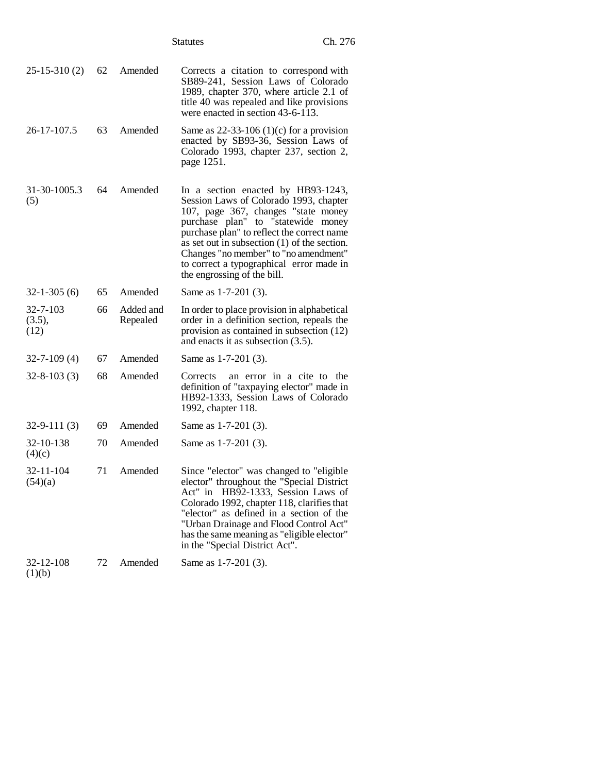|                            |    |                       | <b>Statutes</b>                                                                                                                                                                                                                                                                                                                                                               | Ch. 276 |
|----------------------------|----|-----------------------|-------------------------------------------------------------------------------------------------------------------------------------------------------------------------------------------------------------------------------------------------------------------------------------------------------------------------------------------------------------------------------|---------|
| $25-15-310(2)$             | 62 | Amended               | Corrects a citation to correspond with<br>SB89-241, Session Laws of Colorado<br>1989, chapter 370, where article 2.1 of<br>title 40 was repealed and like provisions<br>were enacted in section 43-6-113.                                                                                                                                                                     |         |
| 26-17-107.5                | 63 | Amended               | Same as $22-33-106$ (1)(c) for a provision<br>enacted by SB93-36, Session Laws of<br>Colorado 1993, chapter 237, section 2,<br>page 1251.                                                                                                                                                                                                                                     |         |
| 31-30-1005.3<br>(5)        | 64 | Amended               | In a section enacted by HB93-1243,<br>Session Laws of Colorado 1993, chapter<br>107, page 367, changes "state money<br>purchase plan" to "statewide money<br>purchase plan" to reflect the correct name<br>as set out in subsection $(1)$ of the section.<br>Changes "no member" to "no amendment"<br>to correct a typographical error made in<br>the engrossing of the bill. |         |
| $32 - 1 - 305(6)$          | 65 | Amended               | Same as 1-7-201 (3).                                                                                                                                                                                                                                                                                                                                                          |         |
| 32-7-103<br>(3.5),<br>(12) | 66 | Added and<br>Repealed | In order to place provision in alphabetical<br>order in a definition section, repeals the<br>provision as contained in subsection (12)<br>and enacts it as subsection $(3.5)$ .                                                                                                                                                                                               |         |
| $32 - 7 - 109(4)$          | 67 | Amended               | Same as 1-7-201 (3).                                                                                                                                                                                                                                                                                                                                                          |         |
| $32 - 8 - 103(3)$          | 68 | Amended               | Corrects<br>an error in a cite to the<br>definition of "taxpaying elector" made in<br>HB92-1333, Session Laws of Colorado<br>1992, chapter 118.                                                                                                                                                                                                                               |         |
| $32 - 9 - 111(3)$          | 69 | Amended               | Same as 1-7-201 (3).                                                                                                                                                                                                                                                                                                                                                          |         |
| 32-10-138<br>(4)(c)        | 70 | Amended               | Same as 1-7-201 (3).                                                                                                                                                                                                                                                                                                                                                          |         |
| 32-11-104<br>(54)(a)       | 71 | Amended               | Since "elector" was changed to "eligible<br>elector" throughout the "Special District<br>Act" in HB92-1333, Session Laws of<br>Colorado 1992, chapter 118, clarifies that<br>"elector" as defined in a section of the<br>"Urban Drainage and Flood Control Act"<br>has the same meaning as "eligible elector"<br>in the "Special District Act".                               |         |
| 32-12-108<br>(1)(b)        | 72 | Amended               | Same as 1-7-201 (3).                                                                                                                                                                                                                                                                                                                                                          |         |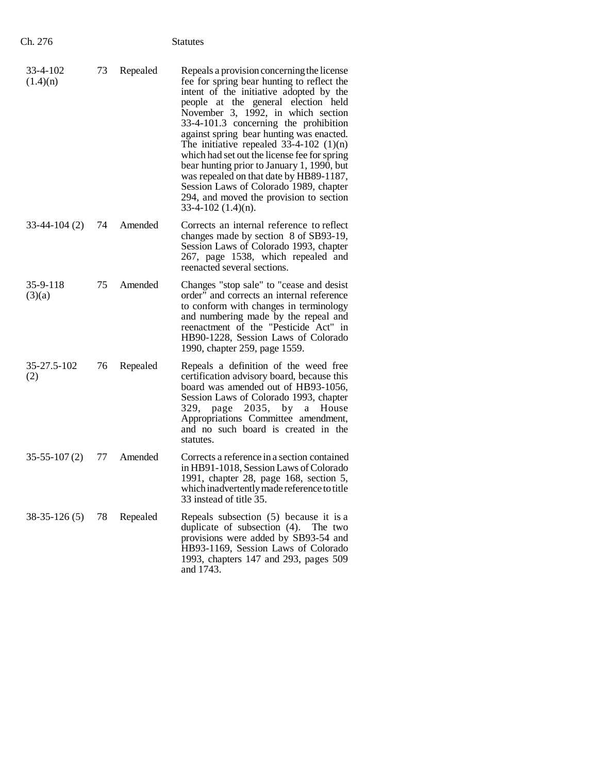| Ch. 276              |    |          | <b>Statutes</b>                                                                                                                                                                                                                                                                                                                                                                                                                                                                                                                                                                                          |
|----------------------|----|----------|----------------------------------------------------------------------------------------------------------------------------------------------------------------------------------------------------------------------------------------------------------------------------------------------------------------------------------------------------------------------------------------------------------------------------------------------------------------------------------------------------------------------------------------------------------------------------------------------------------|
| 33-4-102<br>(1.4)(n) | 73 | Repealed | Repeals a provision concerning the license<br>fee for spring bear hunting to reflect the<br>intent of the initiative adopted by the<br>people at the general election held<br>November 3, 1992, in which section<br>33-4-101.3 concerning the prohibition<br>against spring bear hunting was enacted.<br>The initiative repealed $33-4-102$ (1)(n)<br>which had set out the license fee for spring<br>bear hunting prior to January 1, 1990, but<br>was repealed on that date by HB89-1187,<br>Session Laws of Colorado 1989, chapter<br>294, and moved the provision to section<br>$33-4-102$ (1.4)(n). |
| $33-44-104(2)$       | 74 | Amended  | Corrects an internal reference to reflect<br>changes made by section 8 of SB93-19,<br>Session Laws of Colorado 1993, chapter<br>267, page 1538, which repealed and<br>reenacted several sections.                                                                                                                                                                                                                                                                                                                                                                                                        |
| 35-9-118<br>(3)(a)   | 75 | Amended  | Changes "stop sale" to "cease and desist<br>order" and corrects an internal reference<br>to conform with changes in terminology<br>and numbering made by the repeal and<br>reenactment of the "Pesticide Act" in<br>HB90-1228, Session Laws of Colorado<br>1990, chapter 259, page 1559.                                                                                                                                                                                                                                                                                                                 |
| 35-27.5-102<br>(2)   | 76 | Repealed | Repeals a definition of the weed free<br>certification advisory board, because this<br>board was amended out of HB93-1056,<br>Session Laws of Colorado 1993, chapter<br>2035,<br>by<br>329,<br>page<br>a<br>House<br>Appropriations Committee amendment,<br>and no such board is created in the<br>statutes.                                                                                                                                                                                                                                                                                             |
| $35-55-107(2)$       | 77 | Amended  | Corrects a reference in a section contained<br>in HB91-1018. Session Laws of Colorado<br>1991, chapter 28, page 168, section 5,<br>which inadvertently made reference to title<br>33 instead of title 35.                                                                                                                                                                                                                                                                                                                                                                                                |
| $38-35-126(5)$       | 78 | Repealed | Repeals subsection $(5)$ because it is a<br>duplicate of subsection (4). The two<br>provisions were added by SB93-54 and<br>HB93-1169, Session Laws of Colorado<br>1993, chapters 147 and 293, pages 509<br>and 1743.                                                                                                                                                                                                                                                                                                                                                                                    |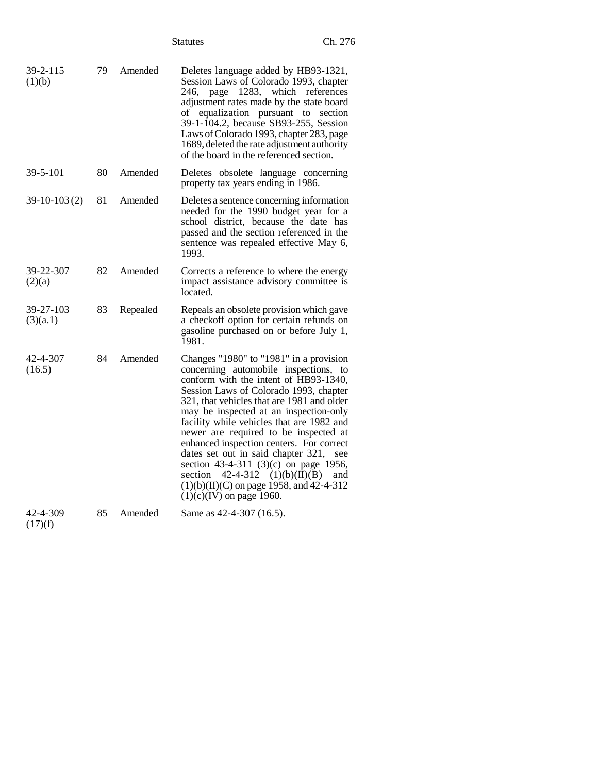|                       |    |          | Ch. 276<br><b>Statutes</b>                                                                                                                                                                                                                                                                                                                                                                                                                                                                                                                                                                                      |
|-----------------------|----|----------|-----------------------------------------------------------------------------------------------------------------------------------------------------------------------------------------------------------------------------------------------------------------------------------------------------------------------------------------------------------------------------------------------------------------------------------------------------------------------------------------------------------------------------------------------------------------------------------------------------------------|
| 39-2-115<br>(1)(b)    | 79 | Amended  | Deletes language added by HB93-1321,<br>Session Laws of Colorado 1993, chapter<br>page 1283, which references<br>246.<br>adjustment rates made by the state board<br>of equalization pursuant to section<br>39-1-104.2, because SB93-255, Session<br>Laws of Colorado 1993, chapter 283, page<br>1689, deleted the rate adjustment authority<br>of the board in the referenced section.                                                                                                                                                                                                                         |
| 39-5-101              | 80 | Amended  | Deletes obsolete language concerning<br>property tax years ending in 1986.                                                                                                                                                                                                                                                                                                                                                                                                                                                                                                                                      |
| $39-10-103(2)$        | 81 | Amended  | Deletes a sentence concerning information<br>needed for the 1990 budget year for a<br>school district, because the date has<br>passed and the section referenced in the<br>sentence was repealed effective May 6,<br>1993.                                                                                                                                                                                                                                                                                                                                                                                      |
| 39-22-307<br>(2)(a)   | 82 | Amended  | Corrects a reference to where the energy<br>impact assistance advisory committee is<br>located.                                                                                                                                                                                                                                                                                                                                                                                                                                                                                                                 |
| 39-27-103<br>(3)(a.1) | 83 | Repealed | Repeals an obsolete provision which gave<br>a checkoff option for certain refunds on<br>gasoline purchased on or before July 1,<br>1981.                                                                                                                                                                                                                                                                                                                                                                                                                                                                        |
| 42-4-307<br>(16.5)    | 84 | Amended  | Changes "1980" to "1981" in a provision<br>concerning automobile inspections, to<br>conform with the intent of HB93-1340,<br>Session Laws of Colorado 1993, chapter<br>321, that vehicles that are 1981 and older<br>may be inspected at an inspection-only<br>facility while vehicles that are 1982 and<br>newer are required to be inspected at<br>enhanced inspection centers. For correct<br>dates set out in said chapter 321,<br>see<br>section 43-4-311 (3)(c) on page 1956,<br>$42-4-312$ $(1)(b)(II)(B)$<br>section<br>and<br>$(1)(b)(II)(C)$ on page 1958, and 42-4-312<br>$(1)(c)(IV)$ on page 1960. |
| 42-4-309              | 85 | Amended  | Same as 42-4-307 (16.5).                                                                                                                                                                                                                                                                                                                                                                                                                                                                                                                                                                                        |

 $(17)(f)$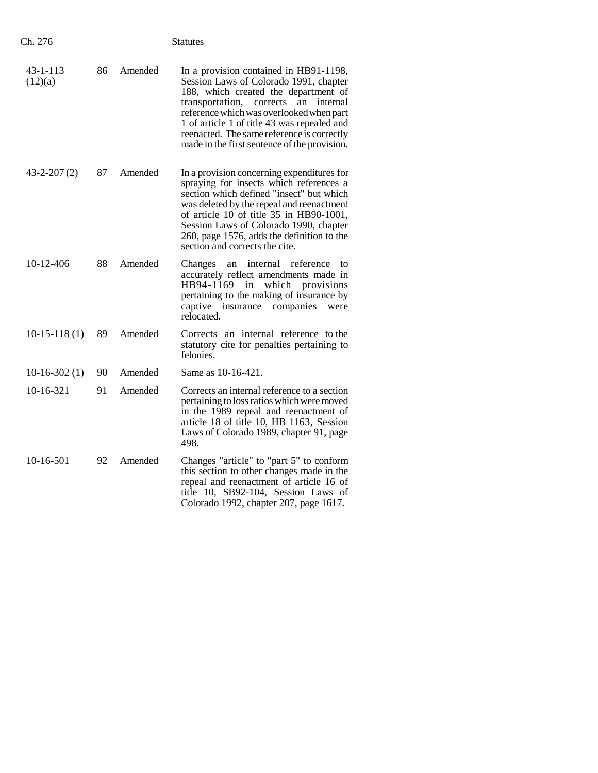| Ch. 276             |    |         | Statutes                                                                                                                                                                                                                                                                                                                                                           |
|---------------------|----|---------|--------------------------------------------------------------------------------------------------------------------------------------------------------------------------------------------------------------------------------------------------------------------------------------------------------------------------------------------------------------------|
| 43-1-113<br>(12)(a) | 86 | Amended | In a provision contained in HB91-1198,<br>Session Laws of Colorado 1991, chapter<br>188, which created the department of<br>transportation,<br>corrects<br>internal<br>an<br>reference which was overlooked when part<br>1 of article 1 of title 43 was repealed and<br>reenacted. The same reference is correctly<br>made in the first sentence of the provision. |
| $43 - 2 - 207(2)$   | 87 | Amended | In a provision concerning expenditures for<br>spraying for insects which references a<br>section which defined "insect" but which<br>was deleted by the repeal and reenactment<br>of article 10 of title 35 in HB90-1001,<br>Session Laws of Colorado 1990, chapter<br>260, page 1576, adds the definition to the<br>section and corrects the cite.                |
| 10-12-406           | 88 | Amended | an internal reference<br>Changes<br>to<br>accurately reflect amendments made in<br>HB94-1169<br>in<br>which provisions<br>pertaining to the making of insurance by<br>captive insurance companies<br>were<br>relocated.                                                                                                                                            |
| $10-15-118(1)$      | 89 | Amended | Corrects an internal reference to the<br>statutory cite for penalties pertaining to<br>felonies.                                                                                                                                                                                                                                                                   |
| $10-16-302(1)$      | 90 | Amended | Same as 10-16-421.                                                                                                                                                                                                                                                                                                                                                 |
| $10-16-321$         | 91 | Amended | Corrects an internal reference to a section<br>pertaining to loss ratios which were moved<br>in the 1989 repeal and reenactment of<br>article 18 of title 10, HB 1163, Session<br>Laws of Colorado 1989, chapter 91, page<br>498.                                                                                                                                  |
| 10-16-501           | 92 | Amended | Changes "article" to "part 5" to conform<br>this section to other changes made in the<br>repeal and reenactment of article 16 of<br>title 10, SB92-104, Session Laws of<br>Colorado 1992, chapter 207, page 1617.                                                                                                                                                  |